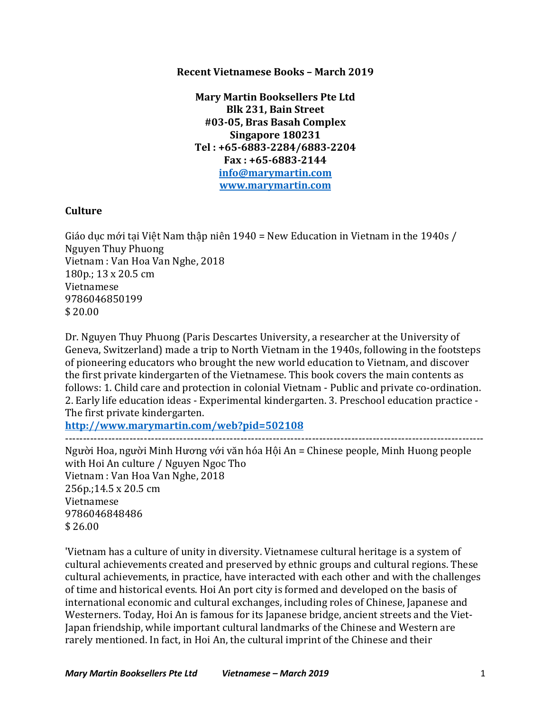### **Recent Vietnamese Books – March 2019**

**Mary Martin Booksellers Pte Ltd Blk 231, Bain Street #03-05, Bras Basah Complex Singapore 180231 Tel : +65-6883-2284/6883-2204 Fax : +65-6883-2144 info@marymartin.com www.marymartin.com**

# **Culture**

Giáo dục mới tại Việt Nam thập niên 1940 = New Education in Vietnam in the 1940s / Nguyen Thuy Phuong Vietnam : Van Hoa Van Nghe, 2018  $180p.: 13 \times 20.5$  cm Vietnamese 9786046850199 \$ 20.00

Dr. Nguyen Thuy Phuong (Paris Descartes University, a researcher at the University of Geneva, Switzerland) made a trip to North Vietnam in the 1940s, following in the footsteps of pioneering educators who brought the new world education to Vietnam, and discover the first private kindergarten of the Vietnamese. This book covers the main contents as follows: 1. Child care and protection in colonial Vietnam - Public and private co-ordination. 2. Early life education ideas - Experimental kindergarten. 3. Preschool education practice -The first private kindergarten.

---------------------------------------------------------------------------------------------------------------------

**http://www.marymartin.com/web?pid=502108**

Người Hoa, người Minh Hương với văn hóa Hội An = Chinese people, Minh Huong people with Hoi An culture / Nguyen Ngoc Tho Vietnam : Van Hoa Van Nghe, 2018 256p.;14.5 x 20.5 cm Vietnamese 9786046848486  $$26.00$ 

'Vietnam has a culture of unity in diversity. Vietnamese cultural heritage is a system of cultural achievements created and preserved by ethnic groups and cultural regions. These cultural achievements, in practice, have interacted with each other and with the challenges of time and historical events. Hoi An port city is formed and developed on the basis of international economic and cultural exchanges, including roles of Chinese, Japanese and Westerners. Today, Hoi An is famous for its Japanese bridge, ancient streets and the Viet-Japan friendship, while important cultural landmarks of the Chinese and Western are rarely mentioned. In fact, in Hoi An, the cultural imprint of the Chinese and their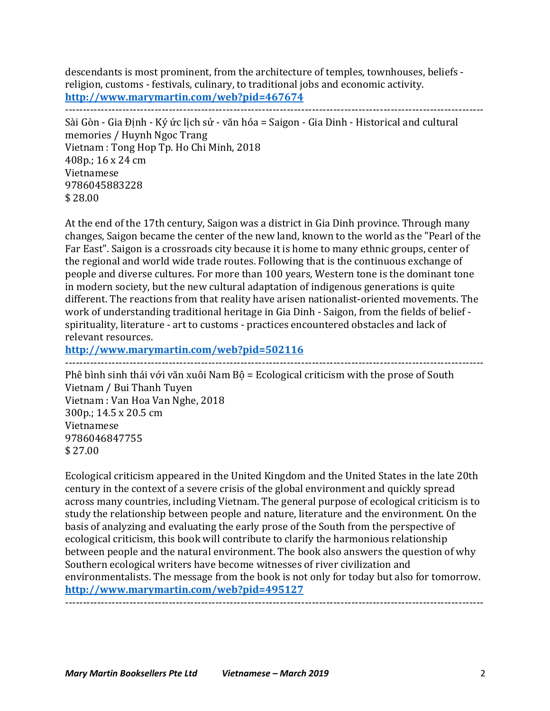descendants is most prominent, from the architecture of temples, townhouses, beliefs religion, customs - festivals, culinary, to traditional jobs and economic activity. **http://www.marymartin.com/web?pid=467674** ---------------------------------------------------------------------------------------------------------------------

Sài Gòn - Gia Đinh - Ký ức lịch sử - văn hóa = Saigon - Gia Dinh - Historical and cultural memories / Huynh Ngoc Trang Vietnam : Tong Hop Tp. Ho Chi Minh, 2018 408p.; 16 x 24 cm Vietnamese 9786045883228 \$ 28.00

At the end of the 17th century, Saigon was a district in Gia Dinh province. Through many changes, Saigon became the center of the new land, known to the world as the "Pearl of the Far East". Saigon is a crossroads city because it is home to many ethnic groups, center of the regional and world wide trade routes. Following that is the continuous exchange of people and diverse cultures. For more than 100 years, Western tone is the dominant tone in modern society, but the new cultural adaptation of indigenous generations is quite different. The reactions from that reality have arisen nationalist-oriented movements. The work of understanding traditional heritage in Gia Dinh - Saigon, from the fields of belief spirituality, literature - art to customs - practices encountered obstacles and lack of relevant resources.

---------------------------------------------------------------------------------------------------------------------

**http://www.marymartin.com/web?pid=502116**

Phê bình sinh thái với văn xuôi Nam Bộ = Ecological criticism with the prose of South Vietnam / Bui Thanh Tuyen Vietnam : Van Hoa Van Nghe, 2018 300p.; 14.5 x 20.5 cm Vietnamese 9786046847755 \$ 27.00

Ecological criticism appeared in the United Kingdom and the United States in the late 20th century in the context of a severe crisis of the global environment and quickly spread across many countries, including Vietnam. The general purpose of ecological criticism is to study the relationship between people and nature, literature and the environment. On the basis of analyzing and evaluating the early prose of the South from the perspective of ecological criticism, this book will contribute to clarify the harmonious relationship between people and the natural environment. The book also answers the question of why Southern ecological writers have become witnesses of river civilization and environmentalists. The message from the book is not only for today but also for tomorrow. **http://www.marymartin.com/web?pid=495127** ---------------------------------------------------------------------------------------------------------------------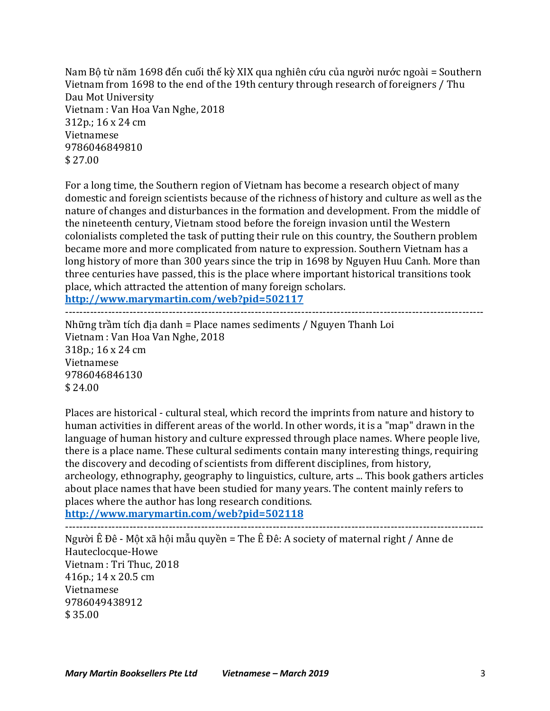Nam Bộ từ năm 1698 đến cuối thế kỳ XIX qua nghiên cứu của người nước ngoài = Southern Vietnam from 1698 to the end of the 19th century through research of foreigners / Thu Dau Mot University Vietnam : Van Hoa Van Nghe, 2018 312p.; 16 x 24 cm Vietnamese 9786046849810  $$27.00$ 

For a long time, the Southern region of Vietnam has become a research object of many domestic and foreign scientists because of the richness of history and culture as well as the nature of changes and disturbances in the formation and development. From the middle of the nineteenth century, Vietnam stood before the foreign invasion until the Western colonialists completed the task of putting their rule on this country, the Southern problem became more and more complicated from nature to expression. Southern Vietnam has a long history of more than 300 years since the trip in 1698 by Nguyen Huu Canh. More than three centuries have passed, this is the place where important historical transitions took place, which attracted the attention of many foreign scholars.

**http://www.marymartin.com/web?pid=502117**

---------------------------------------------------------------------------------------------------------------------

Những trầm tích địa danh = Place names sediments / Nguyen Thanh Loi Vietnam : Van Hoa Van Nghe, 2018 318p.; 16 x 24 cm Vietnamese 9786046846130  $$24.00$ 

Places are historical - cultural steal, which record the imprints from nature and history to human activities in different areas of the world. In other words, it is a "map" drawn in the language of human history and culture expressed through place names. Where people live, there is a place name. These cultural sediments contain many interesting things, requiring the discovery and decoding of scientists from different disciplines, from history, archeology, ethnography, geography to linguistics, culture, arts ... This book gathers articles about place names that have been studied for many years. The content mainly refers to places where the author has long research conditions.

**http://www.marymartin.com/web?pid=502118** ---------------------------------------------------------------------------------------------------------------------

Người Ê Đê - Một xã hội mẫu quyền = The Ê Đê: A society of maternal right / Anne de Hauteclocque-Howe Vietnam : Tri Thuc, 2018 416p.;  $14 \times 20.5$  cm Vietnamese 9786049438912 \$ 35.00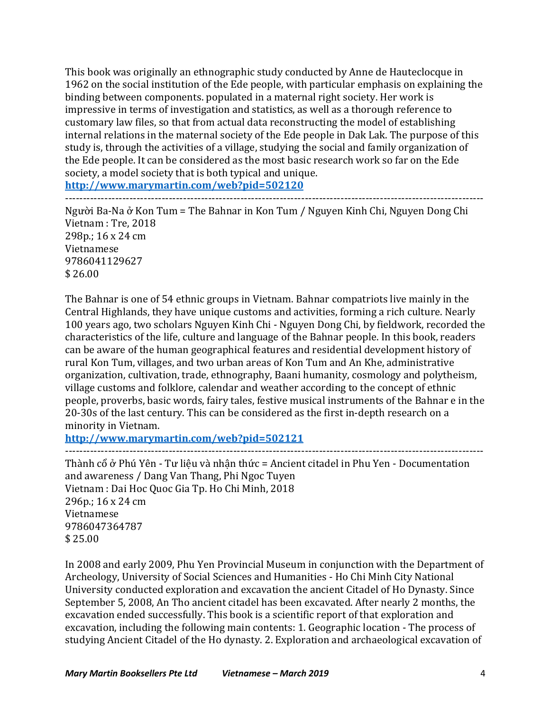This book was originally an ethnographic study conducted by Anne de Hauteclocque in 1962 on the social institution of the Ede people, with particular emphasis on explaining the binding between components. populated in a maternal right society. Her work is impressive in terms of investigation and statistics, as well as a thorough reference to customary law files, so that from actual data reconstructing the model of establishing internal relations in the maternal society of the Ede people in Dak Lak. The purpose of this study is, through the activities of a village, studying the social and family organization of the Ede people. It can be considered as the most basic research work so far on the Ede society, a model society that is both typical and unique.

**http://www.marymartin.com/web?pid=502120**

---------------------------------------------------------------------------------------------------------------------

Người Ba-Na ở Kon Tum = The Bahnar in Kon Tum / Nguyen Kinh Chi, Nguyen Dong Chi Vietnam : Tre, 2018 298p.; 16 x 24 cm Vietnamese 9786041129627  $$26.00$ 

The Bahnar is one of 54 ethnic groups in Vietnam. Bahnar compatriots live mainly in the Central Highlands, they have unique customs and activities, forming a rich culture. Nearly 100 years ago, two scholars Nguyen Kinh Chi - Nguyen Dong Chi, by fieldwork, recorded the characteristics of the life, culture and language of the Bahnar people. In this book, readers can be aware of the human geographical features and residential development history of rural Kon Tum, villages, and two urban areas of Kon Tum and An Khe, administrative organization, cultivation, trade, ethnography, Baani humanity, cosmology and polytheism, village customs and folklore, calendar and weather according to the concept of ethnic people, proverbs, basic words, fairy tales, festive musical instruments of the Bahnar e in the 20-30s of the last century. This can be considered as the first in-depth research on a minority in Vietnam.

**http://www.marymartin.com/web?pid=502121** ---------------------------------------------------------------------------------------------------------------------

Thành cổ ở Phú Yên - Tư liệu và nhân thức = Ancient citadel in Phu Yen - Documentation and awareness / Dang Van Thang, Phi Ngoc Tuyen Vietnam : Dai Hoc Quoc Gia Tp. Ho Chi Minh, 2018  $296p$ .:  $16 \times 24$  cm Vietnamese 9786047364787 \$ 25.00

In 2008 and early 2009, Phu Yen Provincial Museum in conjunction with the Department of Archeology, University of Social Sciences and Humanities - Ho Chi Minh City National University conducted exploration and excavation the ancient Citadel of Ho Dynasty. Since September 5, 2008, An Tho ancient citadel has been excavated. After nearly 2 months, the excavation ended successfully. This book is a scientific report of that exploration and excavation, including the following main contents: 1. Geographic location - The process of studying Ancient Citadel of the Ho dynasty. 2. Exploration and archaeological excavation of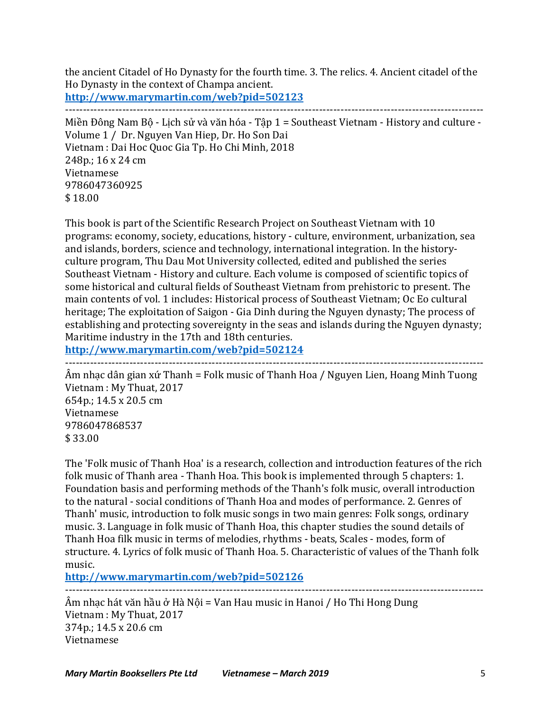the ancient Citadel of Ho Dynasty for the fourth time. 3. The relics. 4. Ancient citadel of the Ho Dynasty in the context of Champa ancient.

---------------------------------------------------------------------------------------------------------------------

**http://www.marymartin.com/web?pid=502123**

Miền Đông Nam Bộ - Lịch sử và văn hóa - Tập 1 = Southeast Vietnam - History and culture -Volume 1 / Dr. Nguyen Van Hiep, Dr. Ho Son Dai Vietnam : Dai Hoc Quoc Gia Tp. Ho Chi Minh, 2018 248p.; 16 x 24 cm Vietnamese 9786047360925 \$ 18.00

This book is part of the Scientific Research Project on Southeast Vietnam with 10 programs: economy, society, educations, history - culture, environment, urbanization, sea and islands, borders, science and technology, international integration. In the historyculture program, Thu Dau Mot University collected, edited and published the series Southeast Vietnam - History and culture. Each volume is composed of scientific topics of some historical and cultural fields of Southeast Vietnam from prehistoric to present. The main contents of vol. 1 includes: Historical process of Southeast Vietnam; Oc Eo cultural heritage; The exploitation of Saigon - Gia Dinh during the Nguyen dynasty; The process of establishing and protecting sovereignty in the seas and islands during the Nguyen dynasty; Maritime industry in the 17th and 18th centuries.

**http://www.marymartin.com/web?pid=502124**

--------------------------------------------------------------------------------------------------------------------- Âm nhạc dân gian xứ Thanh = Folk music of Thanh Hoa / Nguyen Lien, Hoang Minh Tuong Vietnam : My Thuat, 2017 654p.; 14.5 x 20.5 cm Vietnamese 9786047868537 \$ 33.00

The 'Folk music of Thanh Hoa' is a research, collection and introduction features of the rich folk music of Thanh area - Thanh Hoa. This book is implemented through 5 chapters: 1. Foundation basis and performing methods of the Thanh's folk music, overall introduction to the natural - social conditions of Thanh Hoa and modes of performance. 2. Genres of Thanh' music, introduction to folk music songs in two main genres: Folk songs, ordinary music. 3. Language in folk music of Thanh Hoa, this chapter studies the sound details of Thanh Hoa filk music in terms of melodies, rhythms - beats, Scales - modes, form of structure. 4. Lyrics of folk music of Thanh Hoa. 5. Characteristic of values of the Thanh folk music.

---------------------------------------------------------------------------------------------------------------------

**http://www.marymartin.com/web?pid=502126**

Âm nhạc hát văn hầu ở Hà Nội = Van Hau music in Hanoi / Ho Thi Hong Dung Vietnam : My Thuat, 2017 374p.; 14.5 x 20.6 cm Vietnamese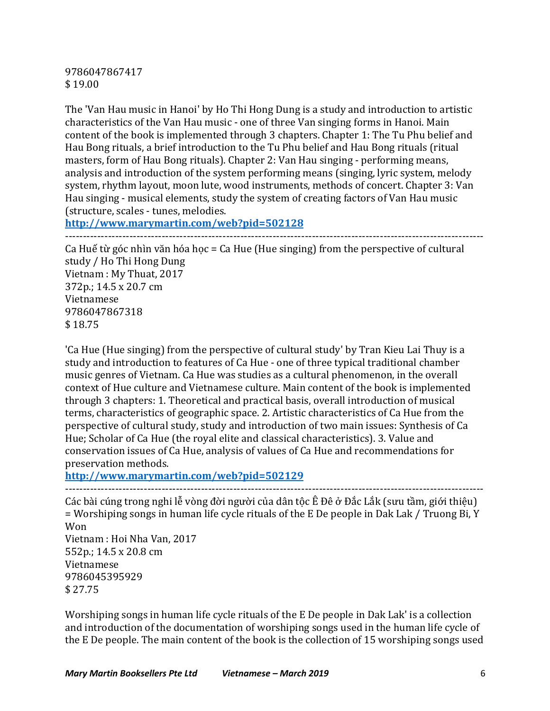9786047867417 \$ 19.00

The 'Van Hau music in Hanoi' by Ho Thi Hong Dung is a study and introduction to artistic characteristics of the Van Hau music - one of three Van singing forms in Hanoi. Main content of the book is implemented through 3 chapters. Chapter 1: The Tu Phu belief and Hau Bong rituals, a brief introduction to the Tu Phu belief and Hau Bong rituals (ritual masters, form of Hau Bong rituals). Chapter 2: Van Hau singing - performing means, analysis and introduction of the system performing means (singing, lyric system, melody system, rhythm layout, moon lute, wood instruments, methods of concert. Chapter 3: Van Hau singing - musical elements, study the system of creating factors of Van Hau music (structure, scales - tunes, melodies.

**http://www.marymartin.com/web?pid=502128**

---------------------------------------------------------------------------------------------------------------------

Ca Huế từ góc nhìn văn hóa học = Ca Hue (Hue singing) from the perspective of cultural study / Ho Thi Hong Dung Vietnam : My Thuat, 2017 372p.; 14.5 x 20.7 cm Vietnamese 9786047867318 \$ 18.75

'Ca Hue (Hue singing) from the perspective of cultural study' by Tran Kieu Lai Thuy is a study and introduction to features of Ca Hue - one of three typical traditional chamber music genres of Vietnam. Ca Hue was studies as a cultural phenomenon, in the overall context of Hue culture and Vietnamese culture. Main content of the book is implemented through 3 chapters: 1. Theoretical and practical basis, overall introduction of musical terms, characteristics of geographic space. 2. Artistic characteristics of Ca Hue from the perspective of cultural study, study and introduction of two main issues: Synthesis of Ca Hue; Scholar of Ca Hue (the royal elite and classical characteristics). 3. Value and conservation issues of Ca Hue, analysis of values of Ca Hue and recommendations for preservation methods.

**http://www.marymartin.com/web?pid=502129**

--------------------------------------------------------------------------------------------------------------------- Các bài cúng trong nghi lễ vòng đời người của dân tộc Ê Đê ở Đắc Lắk (sưu tầm, giới thiệu) = Worshiping songs in human life cycle rituals of the E De people in Dak Lak / Truong Bi, Y Won Vietnam : Hoi Nha Van, 2017 552p.; 14.5 x 20.8 cm Vietnamese 9786045395929 \$ 27.75

Worshiping songs in human life cycle rituals of the E De people in Dak Lak' is a collection and introduction of the documentation of worshiping songs used in the human life cycle of the E De people. The main content of the book is the collection of 15 worshiping songs used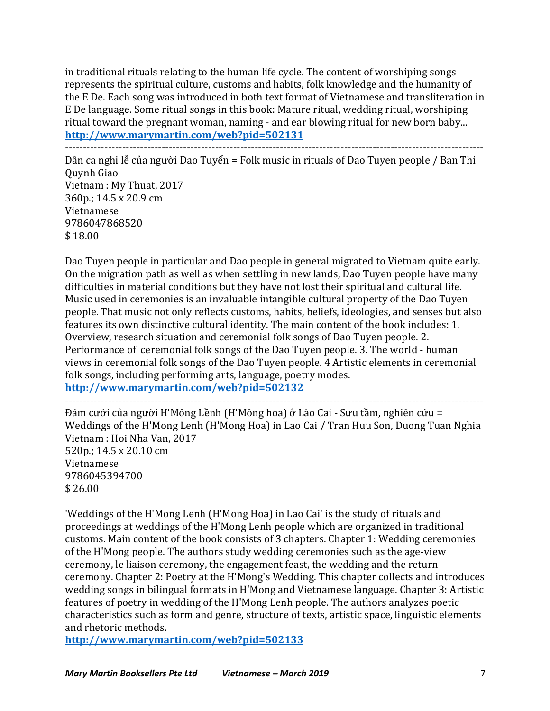in traditional rituals relating to the human life cycle. The content of worshiping songs represents the spiritual culture, customs and habits, folk knowledge and the humanity of the E De. Each song was introduced in both text format of Vietnamese and transliteration in E De language. Some ritual songs in this book: Mature ritual, wedding ritual, worshiping ritual toward the pregnant woman, naming - and ear blowing ritual for new born baby... **http://www.marymartin.com/web?pid=502131**

---------------------------------------------------------------------------------------------------------------------

Dân ca nghi lễ của người Dao Tuyển = Folk music in rituals of Dao Tuyen people / Ban Thi Quynh Giao Vietnam : My Thuat, 2017 360p.; 14.5 x 20.9 cm Vietnamese 9786047868520 \$ 18.00

Dao Tuyen people in particular and Dao people in general migrated to Vietnam quite early. On the migration path as well as when settling in new lands, Dao Tuyen people have many difficulties in material conditions but they have not lost their spiritual and cultural life. Music used in ceremonies is an invaluable intangible cultural property of the Dao Tuyen people. That music not only reflects customs, habits, beliefs, ideologies, and senses but also features its own distinctive cultural identity. The main content of the book includes: 1. Overview, research situation and ceremonial folk songs of Dao Tuyen people. 2. Performance of ceremonial folk songs of the Dao Tuyen people. 3. The world - human views in ceremonial folk songs of the Dao Tuyen people. 4 Artistic elements in ceremonial folk songs, including performing arts, language, poetry modes.

**http://www.marymartin.com/web?pid=502132**

---------------------------------------------------------------------------------------------------------------------

Đám cưới của người H'Mông Lềnh (H'Mông hoa) ở Lào Cai - Sưu tầm, nghiên cứu = Weddings of the H'Mong Lenh (H'Mong Hoa) in Lao Cai / Tran Huu Son, Duong Tuan Nghia Vietnam : Hoi Nha Van, 2017

520p.; 14.5 x 20.10 cm Vietnamese 9786045394700 \$ 26.00

'Weddings of the H'Mong Lenh (H'Mong Hoa) in Lao Cai' is the study of rituals and proceedings at weddings of the H'Mong Lenh people which are organized in traditional customs. Main content of the book consists of 3 chapters. Chapter 1: Wedding ceremonies of the H'Mong people. The authors study wedding ceremonies such as the age-view ceremony, le liaison ceremony, the engagement feast, the wedding and the return ceremony. Chapter 2: Poetry at the H'Mong's Wedding. This chapter collects and introduces wedding songs in bilingual formats in H'Mong and Vietnamese language. Chapter 3: Artistic features of poetry in wedding of the H'Mong Lenh people. The authors analyzes poetic characteristics such as form and genre, structure of texts, artistic space, linguistic elements and rhetoric methods.

**http://www.marymartin.com/web?pid=502133**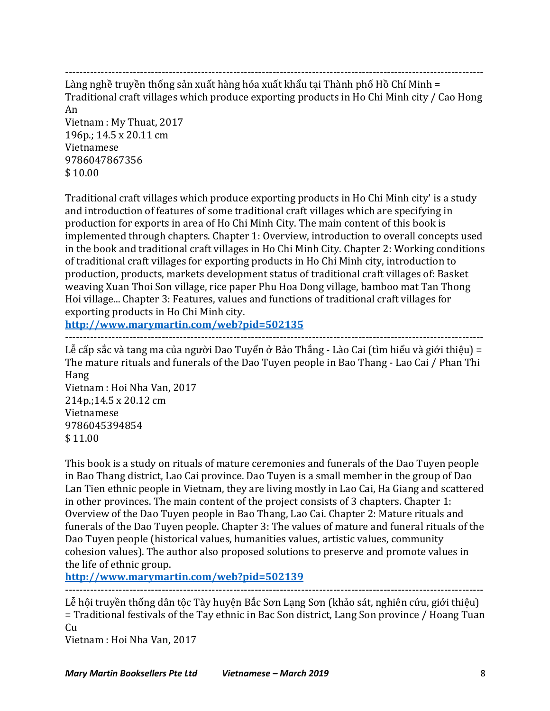---------------------------------------------------------------------------------------------------------------------

Làng nghề truyền thống sản xuất hàng hóa xuất khẩu tại Thành phố Hồ Chí Minh = Traditional craft villages which produce exporting products in Ho Chi Minh city / Cao Hong An

Vietnam : My Thuat, 2017 196p.; 14.5 x 20.11 cm Vietnamese 9786047867356 \$ 10.00

Traditional craft villages which produce exporting products in Ho Chi Minh city' is a study and introduction of features of some traditional craft villages which are specifying in production for exports in area of Ho Chi Minh City. The main content of this book is implemented through chapters. Chapter 1: Overview, introduction to overall concepts used in the book and traditional craft villages in Ho Chi Minh City. Chapter 2: Working conditions of traditional craft villages for exporting products in Ho Chi Minh city, introduction to production, products, markets development status of traditional craft villages of: Basket weaving Xuan Thoi Son village, rice paper Phu Hoa Dong village, bamboo mat Tan Thong Hoi village... Chapter 3: Features, values and functions of traditional craft villages for exporting products in Ho Chi Minh city.

**http://www.marymartin.com/web?pid=502135** ---------------------------------------------------------------------------------------------------------------------

 $L$ ễ cấp sắc và tang ma của người Dao Tuyển ở Bảo Thắng - Lào Cai (tìm hiểu và giới thiệu) = The mature rituals and funerals of the Dao Tuyen people in Bao Thang - Lao Cai / Phan Thi Hang Vietnam : Hoi Nha Van, 2017

214p.;14.5 x 20.12 cm Vietnamese 9786045394854 \$ 11.00

This book is a study on rituals of mature ceremonies and funerals of the Dao Tuyen people in Bao Thang district, Lao Cai province. Dao Tuyen is a small member in the group of Dao Lan Tien ethnic people in Vietnam, they are living mostly in Lao Cai, Ha Giang and scattered in other provinces. The main content of the project consists of  $3$  chapters. Chapter  $1$ : Overview of the Dao Tuyen people in Bao Thang, Lao Cai. Chapter 2: Mature rituals and funerals of the Dao Tuyen people. Chapter 3: The values of mature and funeral rituals of the Dao Tuyen people (historical values, humanities values, artistic values, community cohesion values). The author also proposed solutions to preserve and promote values in the life of ethnic group.

**http://www.marymartin.com/web?pid=502139**

--------------------------------------------------------------------------------------------------------------------- Lễ hội truyền thống dân tộc Tày huyện Bắc Sơn Lạng Sơn (khảo sát, nghiên cứu, giới thiệu) = Traditional festivals of the Tay ethnic in Bac Son district, Lang Son province / Hoang Tuan Cu

Vietnam : Hoi Nha Van, 2017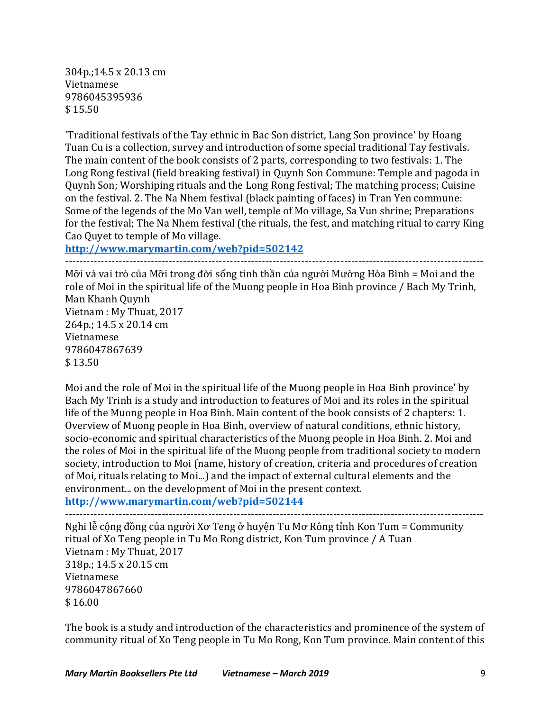304p.;14.5 x 20.13 cm Vietnamese 9786045395936  $$15.50$ 

'Traditional festivals of the Tay ethnic in Bac Son district, Lang Son province' by Hoang Tuan Cu is a collection, survey and introduction of some special traditional Tay festivals. The main content of the book consists of 2 parts, corresponding to two festivals: 1. The Long Rong festival (field breaking festival) in Quynh Son Commune: Temple and pagoda in Quynh Son; Worshiping rituals and the Long Rong festival; The matching process; Cuisine on the festival. 2. The Na Nhem festival (black painting of faces) in Tran Yen commune: Some of the legends of the Mo Van well, temple of Mo village, Sa Vun shrine; Preparations for the festival; The Na Nhem festival (the rituals, the fest, and matching ritual to carry King Cao Quyet to temple of Mo village.

**http://www.marymartin.com/web?pid=502142** ---------------------------------------------------------------------------------------------------------------------

Mỡi và vai trò của Mỡi trong đời sống tinh thần của người Mường Hòa Bình = Moi and the role of Moi in the spiritual life of the Muong people in Hoa Binh province / Bach My Trinh, Man Khanh Ouynh Vietnam : My Thuat, 2017 264p.; 14.5 x 20.14 cm Vietnamese 9786047867639  $$13.50$ 

Moi and the role of Moi in the spiritual life of the Muong people in Hoa Binh province' by Bach My Trinh is a study and introduction to features of Moi and its roles in the spiritual life of the Muong people in Hoa Binh. Main content of the book consists of 2 chapters: 1. Overview of Muong people in Hoa Binh, overview of natural conditions, ethnic history, socio-economic and spiritual characteristics of the Muong people in Hoa Binh. 2. Moi and the roles of Moi in the spiritual life of the Muong people from traditional society to modern society, introduction to Moi (name, history of creation, criteria and procedures of creation of Moi, rituals relating to Moi...) and the impact of external cultural elements and the environment... on the development of Moi in the present context. **http://www.marymartin.com/web?pid=502144**

--------------------------------------------------------------------------------------------------------------------- Nghi lễ cộng đồng của người Xơ Teng ở huyện Tu Mơ Rông tỉnh Kon Tum = Community ritual of Xo Teng people in Tu Mo Rong district, Kon Tum province  $/$  A Tuan Vietnam : My Thuat, 2017 318p.; 14.5 x 20.15 cm Vietnamese 9786047867660  $$16.00$ 

The book is a study and introduction of the characteristics and prominence of the system of community ritual of Xo Teng people in Tu Mo Rong, Kon Tum province. Main content of this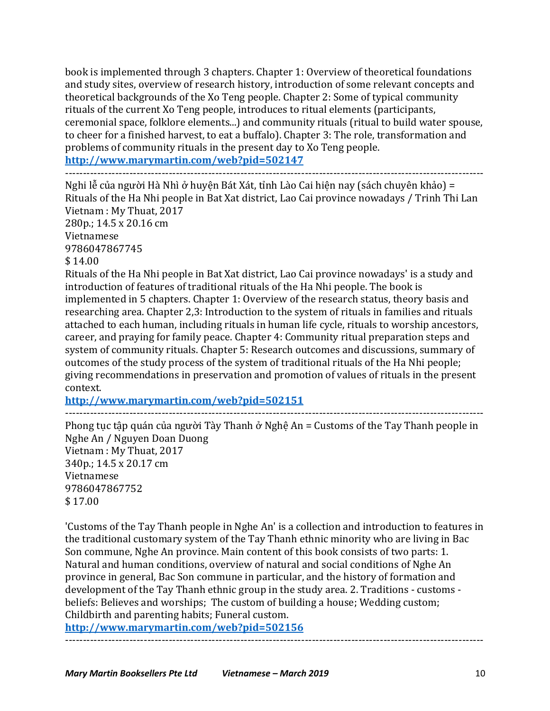book is implemented through 3 chapters. Chapter 1: Overview of theoretical foundations and study sites, overview of research history, introduction of some relevant concepts and theoretical backgrounds of the Xo Teng people. Chapter 2: Some of typical community rituals of the current Xo Teng people, introduces to ritual elements (participants, ceremonial space, folklore elements...) and community rituals (ritual to build water spouse, to cheer for a finished harvest, to eat a buffalo). Chapter 3: The role, transformation and problems of community rituals in the present day to Xo Teng people. **http://www.marymartin.com/web?pid=502147**

---------------------------------------------------------------------------------------------------------------------

Nghi lễ của người Hà Nhì ở huyện Bát Xát, tỉnh Lào Cai hiện nay (sách chuyên khảo) = Rituals of the Ha Nhi people in Bat Xat district, Lao Cai province nowadays / Trinh Thi Lan Vietnam : My Thuat, 2017 280p.; 14.5 x 20.16 cm

Vietnamese 9786047867745

 $$14.00$ 

Rituals of the Ha Nhi people in Bat Xat district, Lao Cai province nowadays' is a study and introduction of features of traditional rituals of the Ha Nhi people. The book is implemented in 5 chapters. Chapter 1: Overview of the research status, theory basis and researching area. Chapter 2,3: Introduction to the system of rituals in families and rituals attached to each human, including rituals in human life cycle, rituals to worship ancestors, career, and praying for family peace. Chapter 4: Community ritual preparation steps and system of community rituals. Chapter 5: Research outcomes and discussions, summary of outcomes of the study process of the system of traditional rituals of the Ha Nhi people; giving recommendations in preservation and promotion of values of rituals in the present context.

**http://www.marymartin.com/web?pid=502151** ---------------------------------------------------------------------------------------------------------------------

Phong tục tập quán của người Tày Thanh ở Nghệ An = Customs of the Tay Thanh people in Nghe An / Nguyen Doan Duong Vietnam : My Thuat, 2017 340p.; 14.5 x 20.17 cm Vietnamese 9786047867752 \$ 17.00

'Customs of the Tay Thanh people in Nghe An' is a collection and introduction to features in the traditional customary system of the Tay Thanh ethnic minority who are living in Bac Son commune, Nghe An province. Main content of this book consists of two parts: 1. Natural and human conditions, overview of natural and social conditions of Nghe An province in general, Bac Son commune in particular, and the history of formation and development of the Tay Thanh ethnic group in the study area. 2. Traditions - customs beliefs: Believes and worships; The custom of building a house; Wedding custom; Childbirth and parenting habits; Funeral custom.

---------------------------------------------------------------------------------------------------------------------

**http://www.marymartin.com/web?pid=502156**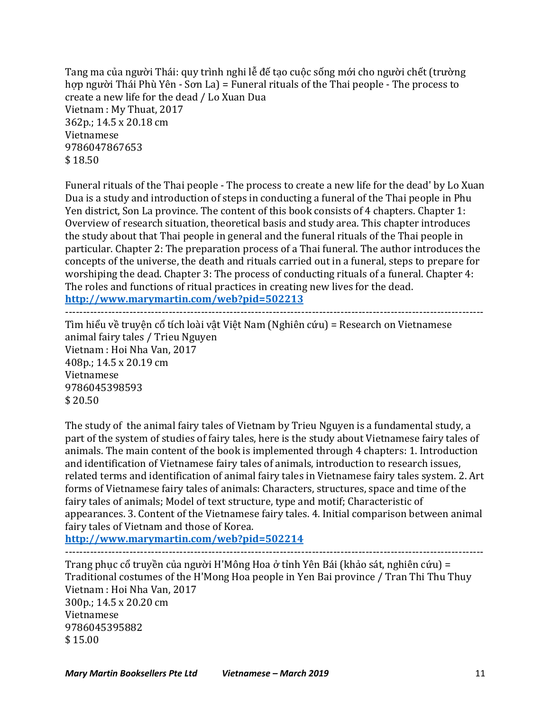Tang ma của người Thái: quy trình nghi lễ đế tạo cuộc sống mới cho người chết (trường hợp người Thái Phù Yên - Sơn La) = Funeral rituals of the Thai people - The process to create a new life for the dead / Lo Xuan Dua Vietnam : My Thuat, 2017 362p.; 14.5 x 20.18 cm Vietnamese 9786047867653  $$18.50$ 

Funeral rituals of the Thai people - The process to create a new life for the dead' by Lo Xuan Dua is a study and introduction of steps in conducting a funeral of the Thai people in Phu Yen district, Son La province. The content of this book consists of 4 chapters. Chapter 1: Overview of research situation, theoretical basis and study area. This chapter introduces the study about that Thai people in general and the funeral rituals of the Thai people in particular. Chapter 2: The preparation process of a Thai funeral. The author introduces the concepts of the universe, the death and rituals carried out in a funeral, steps to prepare for worshiping the dead. Chapter 3: The process of conducting rituals of a funeral. Chapter 4: The roles and functions of ritual practices in creating new lives for the dead. **http://www.marymartin.com/web?pid=502213**

---------------------------------------------------------------------------------------------------------------------

Tìm hiểu về truyện cổ tích loài vật Việt Nam (Nghiên cứu) = Research on Vietnamese animal fairy tales / Trieu Nguyen Vietnam : Hoi Nha Van, 2017 408p.; 14.5 x 20.19 cm Vietnamese 9786045398593 \$ 20.50

The study of the animal fairy tales of Vietnam by Trieu Nguyen is a fundamental study, a part of the system of studies of fairy tales, here is the study about Vietnamese fairy tales of animals. The main content of the book is implemented through 4 chapters: 1. Introduction and identification of Vietnamese fairy tales of animals, introduction to research issues, related terms and identification of animal fairy tales in Vietnamese fairy tales system. 2. Art forms of Vietnamese fairy tales of animals: Characters, structures, space and time of the fairy tales of animals; Model of text structure, type and motif; Characteristic of appearances. 3. Content of the Vietnamese fairy tales. 4. Initial comparison between animal fairy tales of Vietnam and those of Korea.

**http://www.marymartin.com/web?pid=502214**

Trang phục cổ truyền của người H'Mông Hoa ở tỉnh Yên Bái (khảo sát, nghiên cứu) = Traditional costumes of the H'Mong Hoa people in Yen Bai province / Tran Thi Thu Thuy Vietnam : Hoi Nha Van, 2017 300p.; 14.5 x 20.20 cm Vietnamese 9786045395882  $$15.00$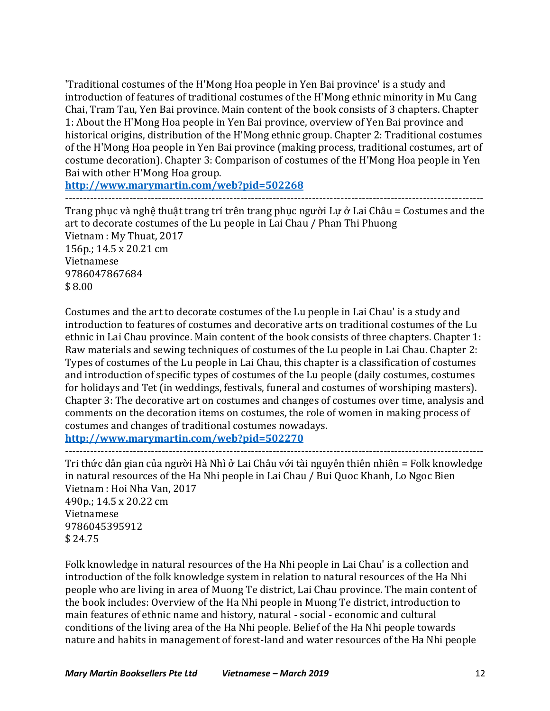'Traditional costumes of the H'Mong Hoa people in Yen Bai province' is a study and introduction of features of traditional costumes of the H'Mong ethnic minority in Mu Cang Chai, Tram Tau, Yen Bai province. Main content of the book consists of 3 chapters. Chapter 1: About the H'Mong Hoa people in Yen Bai province, overview of Yen Bai province and historical origins, distribution of the H'Mong ethnic group. Chapter 2: Traditional costumes of the H'Mong Hoa people in Yen Bai province (making process, traditional costumes, art of costume decoration). Chapter 3: Comparison of costumes of the H'Mong Hoa people in Yen Bai with other H'Mong Hoa group.

**http://www.marymartin.com/web?pid=502268**

---------------------------------------------------------------------------------------------------------------------

Trang phục và nghệ thuật trang trí trên trang phục người Lự ở Lai Châu = Costumes and the art to decorate costumes of the Lu people in Lai Chau / Phan Thi Phuong Vietnam : My Thuat, 2017 156p.; 14.5 x 20.21 cm Vietnamese 9786047867684 \$ 8.00

Costumes and the art to decorate costumes of the Lu people in Lai Chau' is a study and introduction to features of costumes and decorative arts on traditional costumes of the Lu ethnic in Lai Chau province. Main content of the book consists of three chapters. Chapter 1: Raw materials and sewing techniques of costumes of the Lu people in Lai Chau. Chapter 2: Types of costumes of the Lu people in Lai Chau, this chapter is a classification of costumes and introduction of specific types of costumes of the Lu people (daily costumes, costumes for holidays and Tet (in weddings, festivals, funeral and costumes of worshiping masters). Chapter 3: The decorative art on costumes and changes of costumes over time, analysis and comments on the decoration items on costumes, the role of women in making process of costumes and changes of traditional costumes nowadays.

**http://www.marymartin.com/web?pid=502270** ---------------------------------------------------------------------------------------------------------------------

Tri thức dân gian của người Hà Nhì ở Lai Châu với tài nguyên thiên nhiên = Folk knowledge in natural resources of the Ha Nhi people in Lai Chau / Bui Quoc Khanh, Lo Ngoc Bien Vietnam : Hoi Nha Van, 2017 490p.; 14.5 x 20.22 cm Vietnamese 9786045395912 \$ 24.75

Folk knowledge in natural resources of the Ha Nhi people in Lai Chau' is a collection and introduction of the folk knowledge system in relation to natural resources of the Ha Nhi people who are living in area of Muong Te district, Lai Chau province. The main content of the book includes: Overview of the Ha Nhi people in Muong Te district, introduction to main features of ethnic name and history, natural - social - economic and cultural conditions of the living area of the Ha Nhi people. Belief of the Ha Nhi people towards nature and habits in management of forest-land and water resources of the Ha Nhi people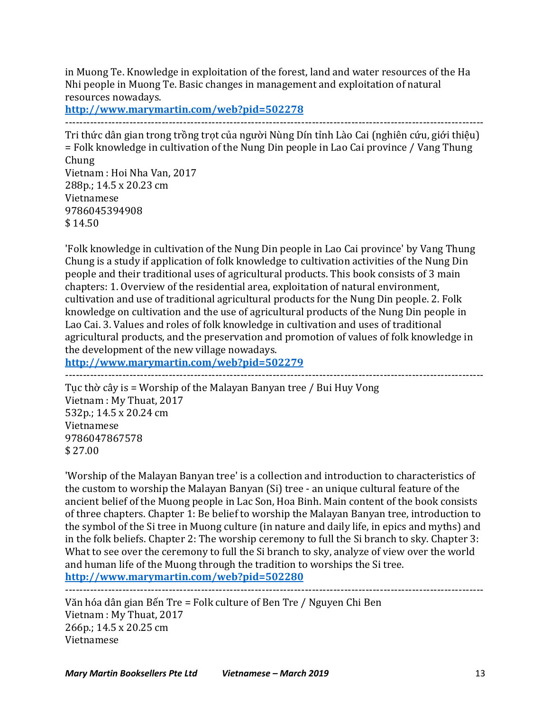in Muong Te. Knowledge in exploitation of the forest, land and water resources of the Ha Nhi people in Muong Te. Basic changes in management and exploitation of natural resources nowadays.

**http://www.marymartin.com/web?pid=502278**

---------------------------------------------------------------------------------------------------------------------

Tri thức dân gian trong trồng trot của người Nùng Dín tỉnh Lào Cai (nghiên cứu, giới thiệu)  $=$  Folk knowledge in cultivation of the Nung Din people in Lao Cai province / Vang Thung Chung Vietnam : Hoi Nha Van, 2017 288p.; 14.5 x 20.23 cm

Vietnamese 9786045394908  $$14.50$ 

'Folk knowledge in cultivation of the Nung Din people in Lao Cai province' by Vang Thung Chung is a study if application of folk knowledge to cultivation activities of the Nung Din people and their traditional uses of agricultural products. This book consists of 3 main chapters: 1. Overview of the residential area, exploitation of natural environment, cultivation and use of traditional agricultural products for the Nung Din people. 2. Folk knowledge on cultivation and the use of agricultural products of the Nung Din people in Lao Cai. 3. Values and roles of folk knowledge in cultivation and uses of traditional agricultural products, and the preservation and promotion of values of folk knowledge in the development of the new village nowadays.

**http://www.marymartin.com/web?pid=502279**

---------------------------------------------------------------------------------------------------------------------

Tuc thờ cây is = Worship of the Malayan Banyan tree / Bui Huy Vong Vietnam : My Thuat, 2017 532p.; 14.5 x 20.24 cm Vietnamese 9786047867578 \$ 27.00

'Worship of the Malayan Banyan tree' is a collection and introduction to characteristics of the custom to worship the Malayan Banyan (Si) tree - an unique cultural feature of the ancient belief of the Muong people in Lac Son, Hoa Binh. Main content of the book consists of three chapters. Chapter 1: Be belief to worship the Malayan Banyan tree, introduction to the symbol of the Si tree in Muong culture (in nature and daily life, in epics and myths) and in the folk beliefs. Chapter 2: The worship ceremony to full the  $Si$  branch to sky. Chapter  $3:$ What to see over the ceremony to full the Si branch to sky, analyze of view over the world and human life of the Muong through the tradition to worships the Si tree. **http://www.marymartin.com/web?pid=502280**

---------------------------------------------------------------------------------------------------------------------

Văn hóa dân gian Bến Tre = Folk culture of Ben Tre / Nguyen Chi Ben Vietnam : My Thuat, 2017 266p.; 14.5 x 20.25 cm Vietnamese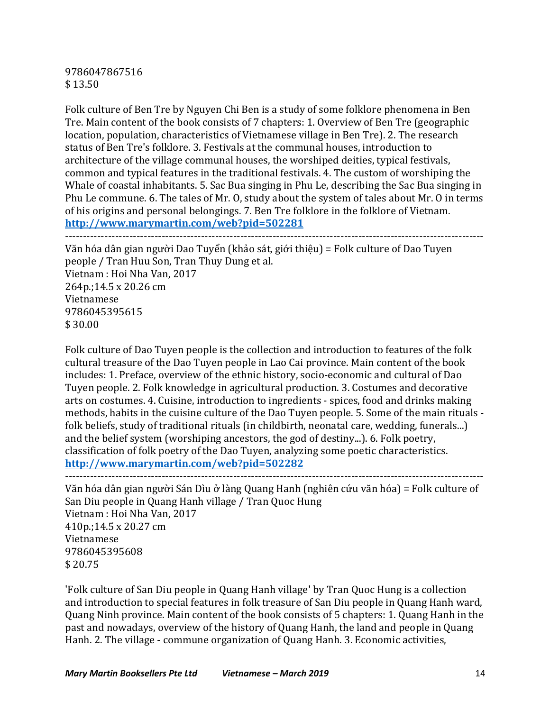9786047867516 \$ 13.50

Folk culture of Ben Tre by Nguyen Chi Ben is a study of some folklore phenomena in Ben Tre. Main content of the book consists of 7 chapters: 1. Overview of Ben Tre (geographic location, population, characteristics of Vietnamese village in Ben Tre). 2. The research status of Ben Tre's folklore. 3. Festivals at the communal houses, introduction to architecture of the village communal houses, the worshiped deities, typical festivals, common and typical features in the traditional festivals. 4. The custom of worshiping the Whale of coastal inhabitants. 5. Sac Bua singing in Phu Le, describing the Sac Bua singing in Phu Le commune. 6. The tales of Mr. O, study about the system of tales about Mr. O in terms of his origins and personal belongings. 7. Ben Tre folklore in the folklore of Vietnam. **http://www.marymartin.com/web?pid=502281**

---------------------------------------------------------------------------------------------------------------------

Văn hóa dân gian người Dao Tuyển (khảo sát, giới thiệu) = Folk culture of Dao Tuyen people / Tran Huu Son, Tran Thuy Dung et al. Vietnam : Hoi Nha Van, 2017 264p.;14.5 x 20.26 cm Vietnamese 9786045395615 \$ 30.00

Folk culture of Dao Tuyen people is the collection and introduction to features of the folk cultural treasure of the Dao Tuyen people in Lao Cai province. Main content of the book includes: 1. Preface, overview of the ethnic history, socio-economic and cultural of Dao Tuyen people. 2. Folk knowledge in agricultural production. 3. Costumes and decorative arts on costumes. 4. Cuisine, introduction to ingredients - spices, food and drinks making methods, habits in the cuisine culture of the Dao Tuyen people. 5. Some of the main rituals folk beliefs, study of traditional rituals (in childbirth, neonatal care, wedding, funerals...) and the belief system (worshiping ancestors, the god of destiny...). 6. Folk poetry, classification of folk poetry of the Dao Tuyen, analyzing some poetic characteristics. **http://www.marymartin.com/web?pid=502282**

---------------------------------------------------------------------------------------------------------------------

Văn hóa dân gian người Sán Dìu ở làng Quang Hanh (nghiên cứu văn hóa) = Folk culture of San Diu people in Quang Hanh village / Tran Quoc Hung Vietnam : Hoi Nha Van, 2017 410p.;14.5 x 20.27 cm Vietnamese 9786045395608 \$ 20.75

'Folk culture of San Diu people in Quang Hanh village' by Tran Quoc Hung is a collection and introduction to special features in folk treasure of San Diu people in Quang Hanh ward, Quang Ninh province. Main content of the book consists of 5 chapters: 1. Quang Hanh in the past and nowadays, overview of the history of Quang Hanh, the land and people in Quang Hanh. 2. The village - commune organization of Quang Hanh. 3. Economic activities,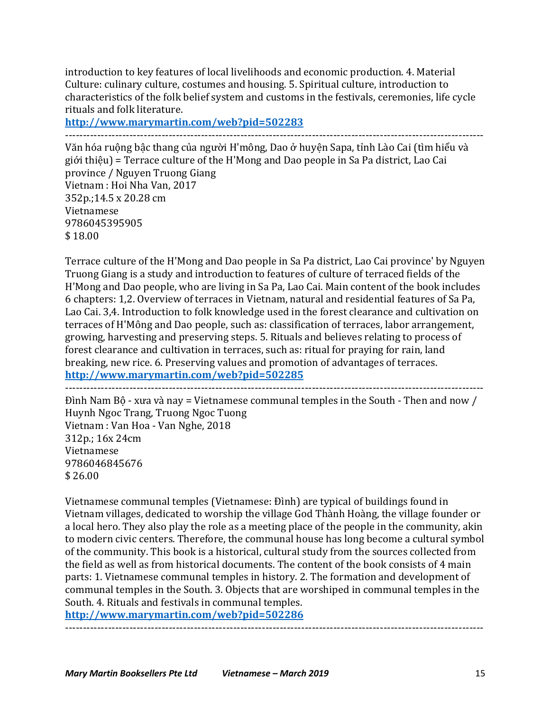introduction to key features of local livelihoods and economic production. 4. Material Culture: culinary culture, costumes and housing. 5. Spiritual culture, introduction to characteristics of the folk belief system and customs in the festivals, ceremonies, life cycle rituals and folk literature.

**http://www.marymartin.com/web?pid=502283**

---------------------------------------------------------------------------------------------------------------------

Văn hóa ruộng bậc thang của người H'mông, Dao ở huyện Sapa, tỉnh Lào Cai (tìm hiểu và giới thiệu) = Terrace culture of the H'Mong and Dao people in Sa Pa district, Lao Cai province / Nguyen Truong Giang Vietnam : Hoi Nha Van, 2017 352p.;14.5 x 20.28 cm Vietnamese 9786045395905 \$ 18.00

Terrace culture of the H'Mong and Dao people in Sa Pa district, Lao Cai province' by Nguyen Truong Giang is a study and introduction to features of culture of terraced fields of the H'Mong and Dao people, who are living in Sa Pa, Lao Cai. Main content of the book includes 6 chapters: 1,2. Overview of terraces in Vietnam, natural and residential features of Sa Pa, Lao Cai. 3,4. Introduction to folk knowledge used in the forest clearance and cultivation on terraces of H'Mông and Dao people, such as: classification of terraces, labor arrangement, growing, harvesting and preserving steps. 5. Rituals and believes relating to process of forest clearance and cultivation in terraces, such as: ritual for praying for rain, land breaking, new rice. 6. Preserving values and promotion of advantages of terraces. **http://www.marymartin.com/web?pid=502285**

---------------------------------------------------------------------------------------------------------------------

Đình Nam Bô - xưa và nay = Vietnamese communal temples in the South - Then and now / Huynh Ngoc Trang, Truong Ngoc Tuong Vietnam : Van Hoa - Van Nghe, 2018 312p.; 16x 24cm Vietnamese 9786046845676 \$ 26.00

Vietnamese communal temples (Vietnamese: Đình) are typical of buildings found in Vietnam villages, dedicated to worship the village God Thành Hoàng, the village founder or a local hero. They also play the role as a meeting place of the people in the community, akin to modern civic centers. Therefore, the communal house has long become a cultural symbol of the community. This book is a historical, cultural study from the sources collected from the field as well as from historical documents. The content of the book consists of 4 main parts: 1. Vietnamese communal temples in history. 2. The formation and development of communal temples in the South. 3. Objects that are worshiped in communal temples in the South. 4. Rituals and festivals in communal temples.

**http://www.marymartin.com/web?pid=502286** ---------------------------------------------------------------------------------------------------------------------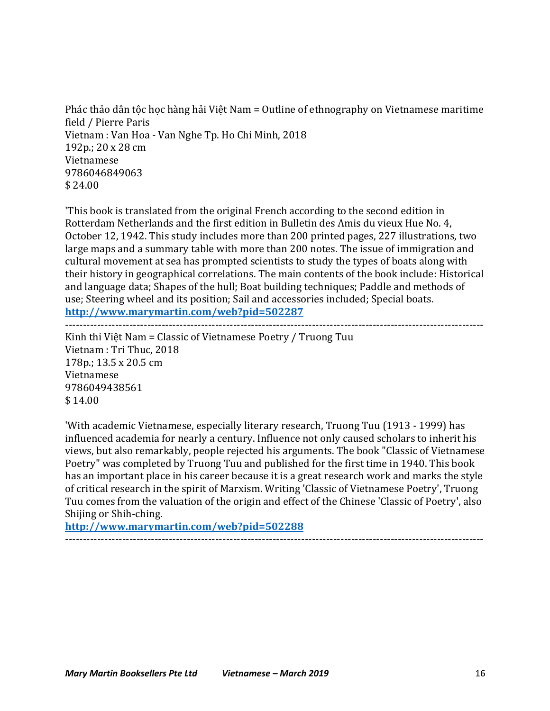Phác thảo dân tộc học hàng hải Việt Nam = Outline of ethnography on Vietnamese maritime field / Pierre Paris Vietnam : Van Hoa - Van Nghe Tp. Ho Chi Minh, 2018 192p.; 20 x 28 cm Vietnamese 9786046849063 \$ 24.00

'This book is translated from the original French according to the second edition in Rotterdam Netherlands and the first edition in Bulletin des Amis du vieux Hue No. 4. October 12, 1942. This study includes more than 200 printed pages, 227 illustrations, two large maps and a summary table with more than 200 notes. The issue of immigration and cultural movement at sea has prompted scientists to study the types of boats along with their history in geographical correlations. The main contents of the book include: Historical and language data; Shapes of the hull; Boat building techniques; Paddle and methods of use; Steering wheel and its position; Sail and accessories included; Special boats. **http://www.marymartin.com/web?pid=502287**

---------------------------------------------------------------------------------------------------------------------

Kinh thi Việt Nam = Classic of Vietnamese Poetry / Truong Tuu Vietnam : Tri Thuc, 2018 178p.; 13.5 x 20.5 cm Vietnamese 9786049438561 \$ 14.00

'With academic Vietnamese, especially literary research, Truong Tuu (1913 - 1999) has influenced academia for nearly a century. Influence not only caused scholars to inherit his views, but also remarkably, people rejected his arguments. The book "Classic of Vietnamese Poetry" was completed by Truong Tuu and published for the first time in 1940. This book has an important place in his career because it is a great research work and marks the style of critical research in the spirit of Marxism. Writing 'Classic of Vietnamese Poetry', Truong Tuu comes from the valuation of the origin and effect of the Chinese 'Classic of Poetry', also Shijing or Shih-ching.

---------------------------------------------------------------------------------------------------------------------

**http://www.marymartin.com/web?pid=502288**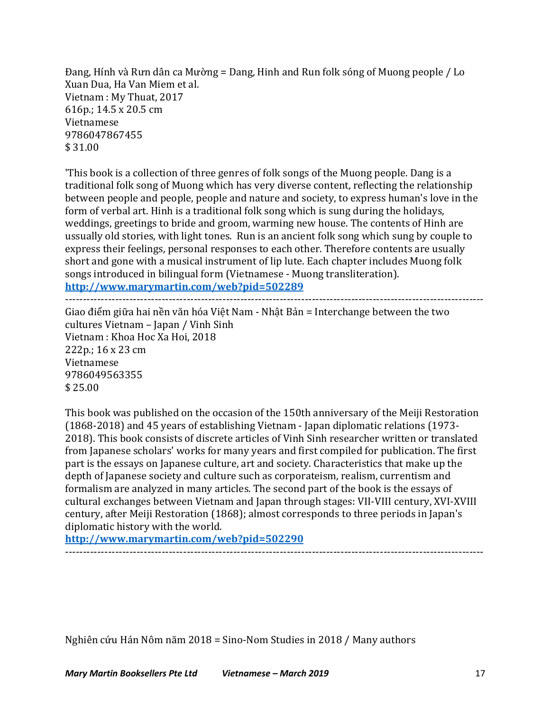Đang, Hính và Rưn dân ca Mường = Dang, Hinh and Run folk sóng of Muong people / Lo Xuan Dua, Ha Van Miem et al. Vietnam : My Thuat, 2017 616p.; 14.5 x 20.5 cm Vietnamese 9786047867455  $$31.00$ 

'This book is a collection of three genres of folk songs of the Muong people. Dang is a traditional folk song of Muong which has very diverse content, reflecting the relationship between people and people, people and nature and society, to express human's love in the form of verbal art. Hinh is a traditional folk song which is sung during the holidays, weddings, greetings to bride and groom, warming new house. The contents of Hinh are ussually old stories, with light tones. Run is an ancient folk song which sung by couple to express their feelings, personal responses to each other. Therefore contents are usually short and gone with a musical instrument of lip lute. Each chapter includes Muong folk songs introduced in bilingual form (Vietnamese - Muong transliteration). **http://www.marymartin.com/web?pid=502289**

---------------------------------------------------------------------------------------------------------------------

Giao điểm giữa hai nền văn hóa Việt Nam - Nhật Bản = Interchange between the two cultures Vietnam - Japan / Vinh Sinh Vietnam : Khoa Hoc Xa Hoi, 2018  $222p$ .;  $16 \times 23$  cm Vietnamese 9786049563355 \$ 25.00

This book was published on the occasion of the 150th anniversary of the Meiji Restoration (1868-2018) and 45 years of establishing Vietnam - Japan diplomatic relations (1973-2018). This book consists of discrete articles of Vinh Sinh researcher written or translated from Japanese scholars' works for many years and first compiled for publication. The first part is the essays on Japanese culture, art and society. Characteristics that make up the depth of Japanese society and culture such as corporateism, realism, currentism and formalism are analyzed in many articles. The second part of the book is the essays of cultural exchanges between Vietnam and Japan through stages: VII-VIII century, XVI-XVIII century, after Meiji Restoration (1868); almost corresponds to three periods in Japan's diplomatic history with the world.

---------------------------------------------------------------------------------------------------------------------

**http://www.marymartin.com/web?pid=502290**

Nghiên cứu Hán Nôm năm 2018 = Sino-Nom Studies in 2018 / Many authors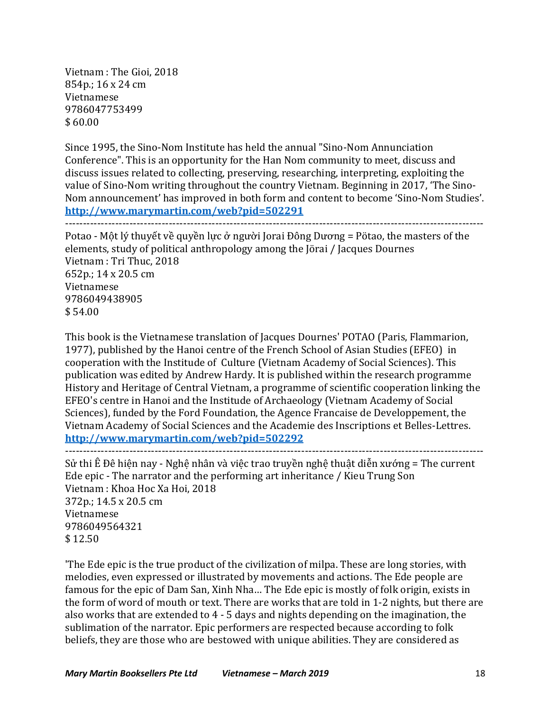Vietnam : The Gioi, 2018 854p.; 16 x 24 cm Vietnamese 9786047753499  $$60.00$ 

Since 1995, the Sino-Nom Institute has held the annual "Sino-Nom Annunciation Conference". This is an opportunity for the Han Nom community to meet, discuss and discuss issues related to collecting, preserving, researching, interpreting, exploiting the value of Sino-Nom writing throughout the country Vietnam. Beginning in 2017, 'The Sino-Nom announcement' has improved in both form and content to become 'Sino-Nom Studies'. **http://www.marymartin.com/web?pid=502291**

---------------------------------------------------------------------------------------------------------------------

Potao - Một lý thuyết về quyền lưc ở người Jorai Đông Dương = Pötao, the masters of the elements, study of political anthropology among the Jörai / Jacques Dournes Vietnam : Tri Thuc, 2018 652p.:  $14 \times 20.5$  cm Vietnamese 9786049438905  $$54.00$ 

This book is the Vietnamese translation of Jacques Dournes' POTAO (Paris, Flammarion, 1977), published by the Hanoi centre of the French School of Asian Studies (EFEO) in cooperation with the Institude of Culture (Vietnam Academy of Social Sciences). This publication was edited by Andrew Hardy. It is published within the research programme History and Heritage of Central Vietnam, a programme of scientific cooperation linking the EFEO's centre in Hanoi and the Institude of Archaeology (Vietnam Academy of Social Sciences), funded by the Ford Foundation, the Agence Francaise de Developpement, the Vietnam Academy of Social Sciences and the Academie des Inscriptions et Belles-Lettres. **http://www.marymartin.com/web?pid=502292**

```
---------------------------------------------------------------------------------------------------------------------
```
Sử thi Ê Đê hiện nay - Nghệ nhân và việc trao truyền nghệ thuật diễn xướng = The current Ede epic - The narrator and the performing art inheritance / Kieu Trung Son Vietnam : Khoa Hoc Xa Hoi, 2018 372p.: 14.5 x 20.5 cm Vietnamese 9786049564321 \$ 12.50

'The Ede epic is the true product of the civilization of milpa. These are long stories, with melodies, even expressed or illustrated by movements and actions. The Ede people are famous for the epic of Dam San, Xinh Nha... The Ede epic is mostly of folk origin, exists in the form of word of mouth or text. There are works that are told in 1-2 nights, but there are also works that are extended to  $4 - 5$  days and nights depending on the imagination, the sublimation of the narrator. Epic performers are respected because according to folk beliefs, they are those who are bestowed with unique abilities. They are considered as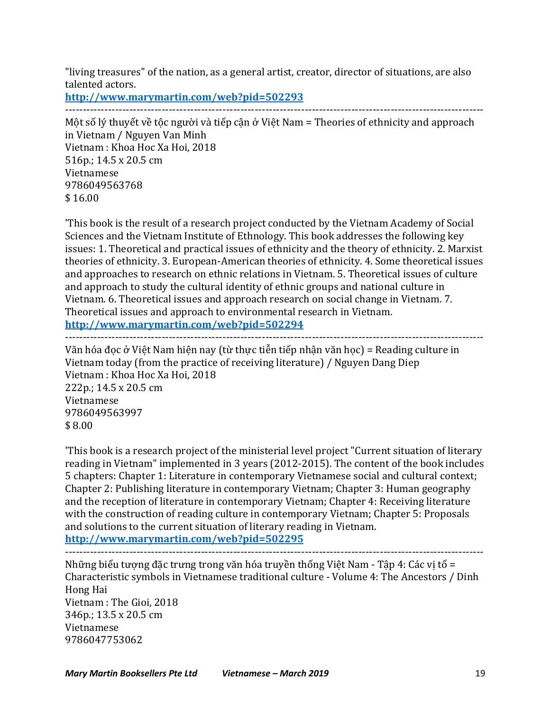"living treasures" of the nation, as a general artist, creator, director of situations, are also talented actors.

**http://www.marymartin.com/web?pid=502293** ---------------------------------------------------------------------------------------------------------------------

Một số lý thuyết về tộc người và tiếp cân ở Việt Nam = Theories of ethnicity and approach in Vietnam / Nguyen Van Minh Vietnam : Khoa Hoc Xa Hoi, 2018  $516p$ .:  $14.5 \times 20.5$  cm Vietnamese 9786049563768 \$ 16.00

This book is the result of a research project conducted by the Vietnam Academy of Social Sciences and the Vietnam Institute of Ethnology. This book addresses the following key issues: 1. Theoretical and practical issues of ethnicity and the theory of ethnicity. 2. Marxist theories of ethnicity. 3. European-American theories of ethnicity. 4. Some theoretical issues and approaches to research on ethnic relations in Vietnam. 5. Theoretical issues of culture and approach to study the cultural identity of ethnic groups and national culture in Vietnam. 6. Theoretical issues and approach research on social change in Vietnam. 7. Theoretical issues and approach to environmental research in Vietnam.

**http://www.marymartin.com/web?pid=502294** ---------------------------------------------------------------------------------------------------------------------

Văn hóa đọc ở Việt Nam hiện nay (từ thực tiễn tiếp nhận văn học) = Reading culture in Vietnam today (from the practice of receiving literature) / Nguyen Dang Diep Vietnam : Khoa Hoc Xa Hoi, 2018 222p.: 14.5 x 20.5 cm Vietnamese 9786049563997  $$8.00$ 

This book is a research project of the ministerial level project "Current situation of literary" reading in Vietnam" implemented in 3 years (2012-2015). The content of the book includes 5 chapters: Chapter 1: Literature in contemporary Vietnamese social and cultural context; Chapter 2: Publishing literature in contemporary Vietnam; Chapter 3: Human geography and the reception of literature in contemporary Vietnam; Chapter 4: Receiving literature with the construction of reading culture in contemporary Vietnam; Chapter 5: Proposals and solutions to the current situation of literary reading in Vietnam.

**http://www.marymartin.com/web?pid=502295**

---------------------------------------------------------------------------------------------------------------------

Những biểu tượng đặc trưng trong văn hóa truyền thống Việt Nam - Tập 4: Các vị tổ = Characteristic symbols in Vietnamese traditional culture - Volume 4: The Ancestors / Dinh Hong Hai Vietnam : The Gioi, 2018 346p.; 13.5 x 20.5 cm Vietnamese 9786047753062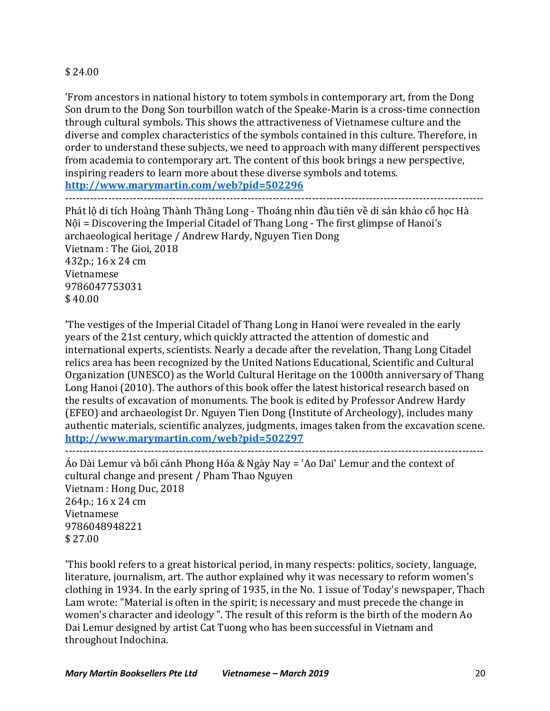# \$ 24.00

'From ancestors in national history to totem symbols in contemporary art, from the Dong Son drum to the Dong Son tourbillon watch of the Speake-Marin is a cross-time connection through cultural symbols. This shows the attractiveness of Vietnamese culture and the diverse and complex characteristics of the symbols contained in this culture. Therefore, in order to understand these subjects, we need to approach with many different perspectives from academia to contemporary art. The content of this book brings a new perspective, inspiring readers to learn more about these diverse symbols and totems.

**http://www.marymartin.com/web?pid=502296**

Phát lộ di tích Hoàng Thành Thăng Long - Thoáng nhìn đầu tiên về di sản khảo cổ học Hà  $Nôi$  = Discovering the Imperial Citadel of Thang Long - The first glimpse of Hanoi's archaeological heritage / Andrew Hardy, Nguyen Tien Dong Vietnam : The Gioi, 2018 432p.; 16 x 24 cm Vietnamese 9786047753031  $$40.00$ 

'The vestiges of the Imperial Citadel of Thang Long in Hanoi were revealed in the early years of the 21st century, which quickly attracted the attention of domestic and international experts, scientists. Nearly a decade after the revelation, Thang Long Citadel relics area has been recognized by the United Nations Educational, Scientific and Cultural Organization (UNESCO) as the World Cultural Heritage on the 1000th anniversary of Thang Long Hanoi (2010). The authors of this book offer the latest historical research based on the results of excavation of monuments. The book is edited by Professor Andrew Hardy (EFEO) and archaeologist Dr. Nguyen Tien Dong (Institute of Archeology), includes many authentic materials, scientific analyzes, judgments, images taken from the excavation scene. **http://www.marymartin.com/web?pid=502297**

```
---------------------------------------------------------------------------------------------------------------------
```
Áo Dài Lemur và bối cảnh Phong Hóa & Ngày Nay = 'Ao Dai' Lemur and the context of cultural change and present / Pham Thao Nguyen Vietnam : Hong Duc, 2018 264p.: 16 x 24 cm Vietnamese 9786048948221 \$ 27.00

'This bookl refers to a great historical period, in many respects: politics, society, language, literature, journalism, art. The author explained why it was necessary to reform women's clothing in 1934. In the early spring of 1935, in the No. 1 issue of Today's newspaper, Thach Lam wrote: "Material is often in the spirit; is necessary and must precede the change in women's character and ideology ". The result of this reform is the birth of the modern Ao Dai Lemur designed by artist Cat Tuong who has been successful in Vietnam and throughout Indochina.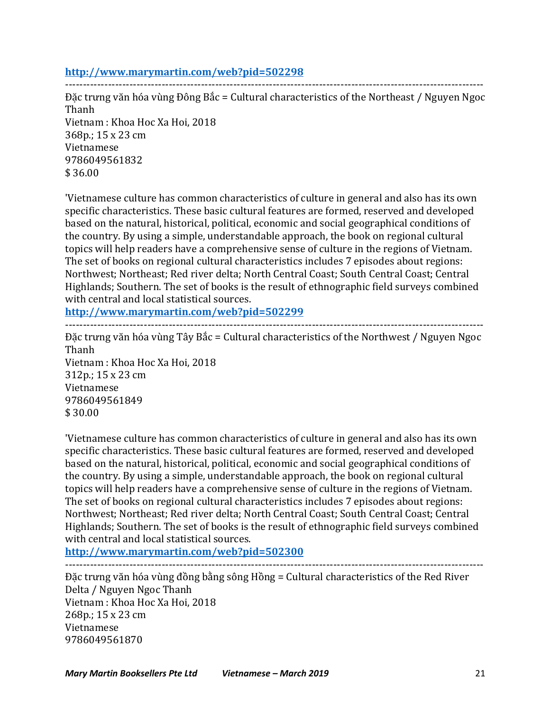### **http://www.marymartin.com/web?pid=502298**

Đặc trưng văn hóa vùng Đông Bắc = Cultural characteristics of the Northeast / Nguyen Ngoc Thanh Vietnam : Khoa Hoc Xa Hoi, 2018 368p.; 15 x 23 cm Vietnamese 9786049561832 \$ 36.00

---------------------------------------------------------------------------------------------------------------------

'Vietnamese culture has common characteristics of culture in general and also has its own specific characteristics. These basic cultural features are formed, reserved and developed based on the natural, historical, political, economic and social geographical conditions of the country. By using a simple, understandable approach, the book on regional cultural topics will help readers have a comprehensive sense of culture in the regions of Vietnam. The set of books on regional cultural characteristics includes 7 episodes about regions: Northwest; Northeast; Red river delta; North Central Coast; South Central Coast; Central Highlands; Southern. The set of books is the result of ethnographic field surveys combined with central and local statistical sources.

**http://www.marymartin.com/web?pid=502299**

Đặc trưng văn hóa vùng Tây Bắc = Cultural characteristics of the Northwest / Nguyen Ngoc Thanh Vietnam : Khoa Hoc Xa Hoi, 2018 312p.; 15 x 23 cm Vietnamese 9786049561849  $$30.00$ 

---------------------------------------------------------------------------------------------------------------------

'Vietnamese culture has common characteristics of culture in general and also has its own specific characteristics. These basic cultural features are formed, reserved and developed based on the natural, historical, political, economic and social geographical conditions of the country. By using a simple, understandable approach, the book on regional cultural topics will help readers have a comprehensive sense of culture in the regions of Vietnam. The set of books on regional cultural characteristics includes 7 episodes about regions: Northwest; Northeast; Red river delta; North Central Coast; South Central Coast; Central Highlands; Southern. The set of books is the result of ethnographic field surveys combined with central and local statistical sources.

**http://www.marymartin.com/web?pid=502300**

---------------------------------------------------------------------------------------------------------------------

Đặc trưng văn hóa vùng đồng bằng sông Hồng = Cultural characteristics of the Red River Delta / Nguyen Ngoc Thanh Vietnam : Khoa Hoc Xa Hoi, 2018  $268p$ .;  $15 \times 23$  cm Vietnamese 9786049561870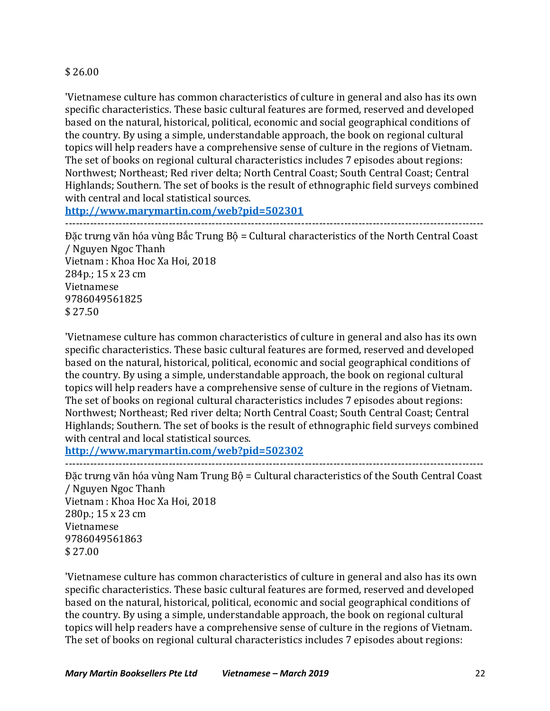### \$ 26.00

'Vietnamese culture has common characteristics of culture in general and also has its own specific characteristics. These basic cultural features are formed, reserved and developed based on the natural, historical, political, economic and social geographical conditions of the country. By using a simple, understandable approach, the book on regional cultural topics will help readers have a comprehensive sense of culture in the regions of Vietnam. The set of books on regional cultural characteristics includes 7 episodes about regions: Northwest; Northeast; Red river delta; North Central Coast; South Central Coast; Central Highlands; Southern. The set of books is the result of ethnographic field surveys combined with central and local statistical sources.

**http://www.marymartin.com/web?pid=502301** ---------------------------------------------------------------------------------------------------------------------

Đặc trưng văn hóa vùng Bắc Trung Bộ = Cultural characteristics of the North Central Coast / Nguyen Ngoc Thanh Vietnam : Khoa Hoc Xa Hoi, 2018  $284p$ .:  $15 \times 23$  cm Vietnamese 9786049561825 \$ 27.50

'Vietnamese culture has common characteristics of culture in general and also has its own specific characteristics. These basic cultural features are formed, reserved and developed based on the natural, historical, political, economic and social geographical conditions of the country. By using a simple, understandable approach, the book on regional cultural topics will help readers have a comprehensive sense of culture in the regions of Vietnam. The set of books on regional cultural characteristics includes 7 episodes about regions: Northwest; Northeast; Red river delta; North Central Coast; South Central Coast; Central Highlands; Southern. The set of books is the result of ethnographic field surveys combined with central and local statistical sources.

**http://www.marymartin.com/web?pid=502302**

--------------------------------------------------------------------------------------------------------------------- Đặc trưng văn hóa vùng Nam Trung Bộ = Cultural characteristics of the South Central Coast / Nguyen Ngoc Thanh Vietnam : Khoa Hoc Xa Hoi, 2018 280p.; 15 x 23 cm Vietnamese 9786049561863 \$ 27.00

'Vietnamese culture has common characteristics of culture in general and also has its own specific characteristics. These basic cultural features are formed, reserved and developed based on the natural, historical, political, economic and social geographical conditions of the country. By using a simple, understandable approach, the book on regional cultural topics will help readers have a comprehensive sense of culture in the regions of Vietnam. The set of books on regional cultural characteristics includes 7 episodes about regions: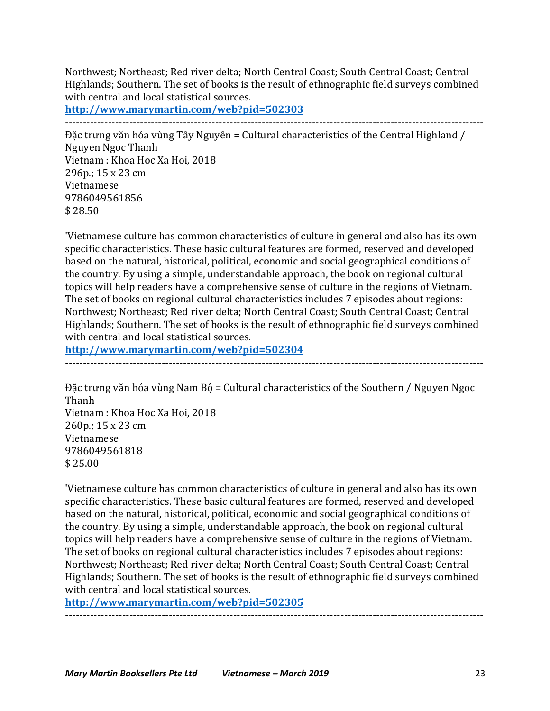Northwest; Northeast; Red river delta; North Central Coast; South Central Coast; Central Highlands; Southern. The set of books is the result of ethnographic field surveys combined with central and local statistical sources.

**http://www.marymartin.com/web?pid=502303**

---------------------------------------------------------------------------------------------------------------------

Đặc trưng văn hóa vùng Tây Nguyên = Cultural characteristics of the Central Highland / Nguyen Ngoc Thanh Vietnam : Khoa Hoc Xa Hoi, 2018 296p.; 15 x 23 cm Vietnamese 9786049561856 \$ 28.50

'Vietnamese culture has common characteristics of culture in general and also has its own specific characteristics. These basic cultural features are formed, reserved and developed based on the natural, historical, political, economic and social geographical conditions of the country. By using a simple, understandable approach, the book on regional cultural topics will help readers have a comprehensive sense of culture in the regions of Vietnam. The set of books on regional cultural characteristics includes 7 episodes about regions: Northwest; Northeast; Red river delta; North Central Coast; South Central Coast; Central Highlands; Southern. The set of books is the result of ethnographic field surveys combined with central and local statistical sources.

**http://www.marymartin.com/web?pid=502304**

---------------------------------------------------------------------------------------------------------------------

Đặc trưng văn hóa vùng Nam Bộ = Cultural characteristics of the Southern / Nguyen Ngoc Thanh Vietnam : Khoa Hoc Xa Hoi, 2018 260p.; 15 x 23 cm Vietnamese 9786049561818 \$ 25.00

'Vietnamese culture has common characteristics of culture in general and also has its own specific characteristics. These basic cultural features are formed, reserved and developed based on the natural, historical, political, economic and social geographical conditions of the country. By using a simple, understandable approach, the book on regional cultural topics will help readers have a comprehensive sense of culture in the regions of Vietnam. The set of books on regional cultural characteristics includes 7 episodes about regions: Northwest; Northeast; Red river delta; North Central Coast; South Central Coast; Central Highlands; Southern. The set of books is the result of ethnographic field surveys combined with central and local statistical sources.

**http://www.marymartin.com/web?pid=502305** ---------------------------------------------------------------------------------------------------------------------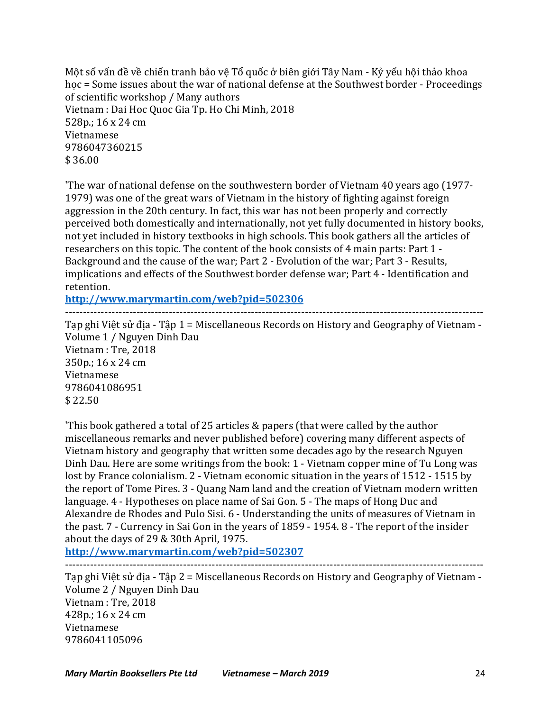Một số vấn đề về chiến tranh bảo vệ Tổ quốc ở biên giới Tây Nam - Kỷ yếu hội thảo khoa hoc = Some issues about the war of national defense at the Southwest border - Proceedings of scientific workshop / Many authors Vietnam : Dai Hoc Quoc Gia Tp. Ho Chi Minh, 2018 528p.; 16 x 24 cm Vietnamese 9786047360215  $$36.00$ 

'The war of national defense on the southwestern border of Vietnam 40 years ago (1977-1979) was one of the great wars of Vietnam in the history of fighting against foreign aggression in the 20th century. In fact, this war has not been properly and correctly perceived both domestically and internationally, not yet fully documented in history books, not yet included in history textbooks in high schools. This book gathers all the articles of researchers on this topic. The content of the book consists of 4 main parts: Part 1 -Background and the cause of the war; Part 2 - Evolution of the war; Part 3 - Results, implications and effects of the Southwest border defense war; Part 4 - Identification and retention.

**http://www.marymartin.com/web?pid=502306**

---------------------------------------------------------------------------------------------------------------------

Tap ghi Việt sử địa - Tập 1 = Miscellaneous Records on History and Geography of Vietnam -Volume 1 / Nguyen Dinh Dau Vietnam : Tre, 2018

350p.; 16 x 24 cm Vietnamese 9786041086951 \$ 22.50

This book gathered a total of 25 articles & papers (that were called by the author miscellaneous remarks and never published before) covering many different aspects of Vietnam history and geography that written some decades ago by the research Nguyen Dinh Dau. Here are some writings from the book: 1 - Vietnam copper mine of Tu Long was lost by France colonialism. 2 - Vietnam economic situation in the years of 1512 - 1515 by the report of Tome Pires. 3 - Quang Nam land and the creation of Vietnam modern written language. 4 - Hypotheses on place name of Sai Gon. 5 - The maps of Hong Duc and Alexandre de Rhodes and Pulo Sisi. 6 - Understanding the units of measures of Vietnam in the past.  $7$  - Currency in Sai Gon in the years of  $1859 - 1954$ .  $8$  - The report of the insider about the days of  $29$  & 30th April, 1975.

**http://www.marymartin.com/web?pid=502307** ---------------------------------------------------------------------------------------------------------------------

Tạp ghi Việt sử địa - Tập 2 = Miscellaneous Records on History and Geography of Vietnam -Volume 2 / Nguyen Dinh Dau Vietnam : Tre, 2018 428p.;  $16 \times 24$  cm Vietnamese 9786041105096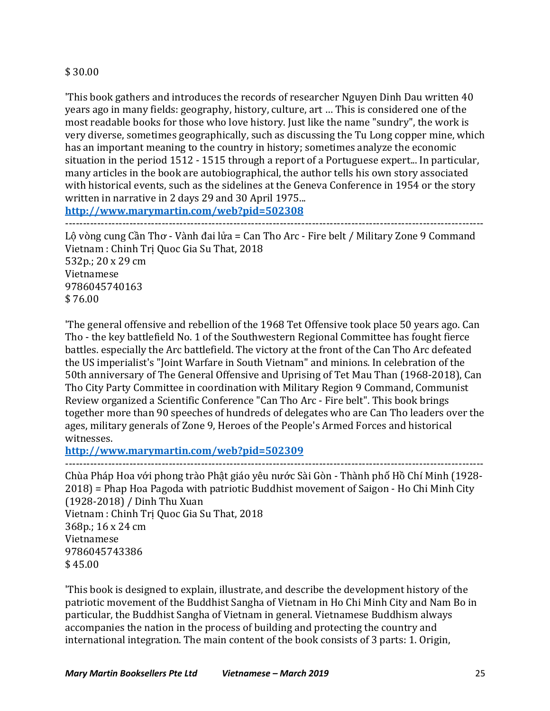### \$ 30.00

This book gathers and introduces the records of researcher Nguyen Dinh Dau written 40 years ago in many fields: geography, history, culture, art ... This is considered one of the most readable books for those who love history. Just like the name "sundry", the work is very diverse, sometimes geographically, such as discussing the Tu Long copper mine, which has an important meaning to the country in history; sometimes analyze the economic situation in the period  $1512 - 1515$  through a report of a Portuguese expert... In particular, many articles in the book are autobiographical, the author tells his own story associated with historical events, such as the sidelines at the Geneva Conference in 1954 or the story written in narrative in 2 days 29 and 30 April 1975...

**http://www.marymartin.com/web?pid=502308**

---------------------------------------------------------------------------------------------------------------------

Lộ vòng cung Cần Thơ - Vành đai lửa = Can Tho Arc - Fire belt / Military Zone 9 Command Vietnam : Chinh Trị Quoc Gia Su That, 2018 532p.; 20 x 29 cm Vietnamese 9786045740163 \$ 76.00

'The general offensive and rebellion of the 1968 Tet Offensive took place 50 years ago. Can Tho - the key battlefield No. 1 of the Southwestern Regional Committee has fought fierce battles. especially the Arc battlefield. The victory at the front of the Can Tho Arc defeated the US imperialist's "Joint Warfare in South Vietnam" and minions. In celebration of the 50th anniversary of The General Offensive and Uprising of Tet Mau Than (1968-2018), Can Tho City Party Committee in coordination with Military Region 9 Command, Communist Review organized a Scientific Conference "Can Tho Arc - Fire belt". This book brings together more than 90 speeches of hundreds of delegates who are Can Tho leaders over the ages, military generals of Zone 9, Heroes of the People's Armed Forces and historical witnesses.

**http://www.marymartin.com/web?pid=502309**

--------------------------------------------------------------------------------------------------------------------- Chùa Pháp Hoa với phong trào Phật giáo yêu nước Sài Gòn - Thành phố Hồ Chí Minh (1928- $2018$ ) = Phap Hoa Pagoda with patriotic Buddhist movement of Saigon - Ho Chi Minh City (1928-2018) / Dinh Thu Xuan Vietnam : Chinh Tri Quoc Gia Su That, 2018 368p.; 16 x 24 cm Vietnamese 9786045743386 \$45.00

This book is designed to explain, illustrate, and describe the development history of the patriotic movement of the Buddhist Sangha of Vietnam in Ho Chi Minh City and Nam Bo in particular, the Buddhist Sangha of Vietnam in general. Vietnamese Buddhism always accompanies the nation in the process of building and protecting the country and international integration. The main content of the book consists of 3 parts: 1. Origin,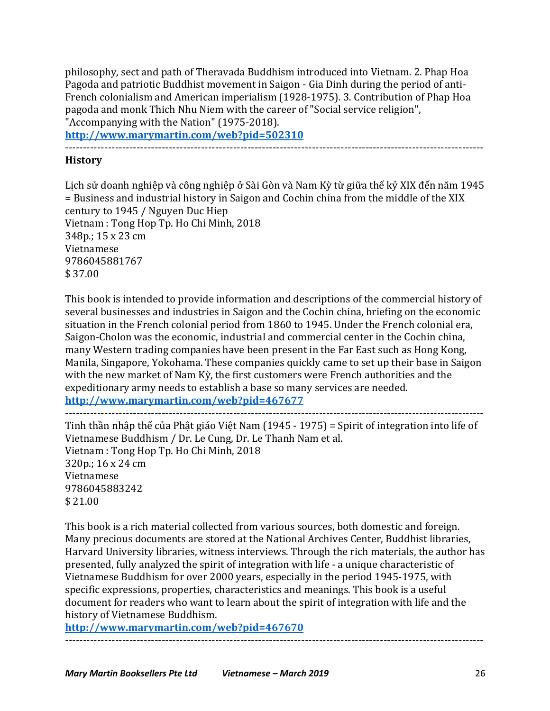philosophy, sect and path of Theravada Buddhism introduced into Vietnam. 2. Phap Hoa Pagoda and patriotic Buddhist movement in Saigon - Gia Dinh during the period of anti-French colonialism and American imperialism (1928-1975). 3. Contribution of Phap Hoa pagoda and monk Thich Nhu Niem with the career of "Social service religion", "Accompanying with the Nation" (1975-2018).

**http://www.marymartin.com/web?pid=502310**

---------------------------------------------------------------------------------------------------------------------

# **History**

Lịch sử doanh nghiệp và công nghiệp ở Sài Gòn và Nam Kỳ từ giữa thế kỷ XIX đến năm 1945 = Business and industrial history in Saigon and Cochin china from the middle of the XIX century to 1945 / Nguyen Duc Hiep Vietnam : Tong Hop Tp. Ho Chi Minh, 2018 348p.; 15 x 23 cm Vietnamese 9786045881767  $$37.00$ 

This book is intended to provide information and descriptions of the commercial history of several businesses and industries in Saigon and the Cochin china, briefing on the economic situation in the French colonial period from 1860 to 1945. Under the French colonial era, Saigon-Cholon was the economic, industrial and commercial center in the Cochin china, many Western trading companies have been present in the Far East such as Hong Kong, Manila, Singapore, Yokohama. These companies quickly came to set up their base in Saigon with the new market of Nam Kỳ, the first customers were French authorities and the expeditionary army needs to establish a base so many services are needed. **http://www.marymartin.com/web?pid=467677** ---------------------------------------------------------------------------------------------------------------------

Tinh thần nhập thế của Phật giáo Việt Nam (1945 - 1975) = Spirit of integration into life of Vietnamese Buddhism / Dr. Le Cung, Dr. Le Thanh Nam et al. Vietnam : Tong Hop Tp. Ho Chi Minh, 2018 320p.; 16 x 24 cm Vietnamese 9786045883242 \$ 21.00

This book is a rich material collected from various sources, both domestic and foreign. Many precious documents are stored at the National Archives Center, Buddhist libraries, Harvard University libraries, witness interviews. Through the rich materials, the author has presented, fully analyzed the spirit of integration with life - a unique characteristic of Vietnamese Buddhism for over 2000 years, especially in the period 1945-1975, with specific expressions, properties, characteristics and meanings. This book is a useful document for readers who want to learn about the spirit of integration with life and the history of Vietnamese Buddhism.

---------------------------------------------------------------------------------------------------------------------

**http://www.marymartin.com/web?pid=467670**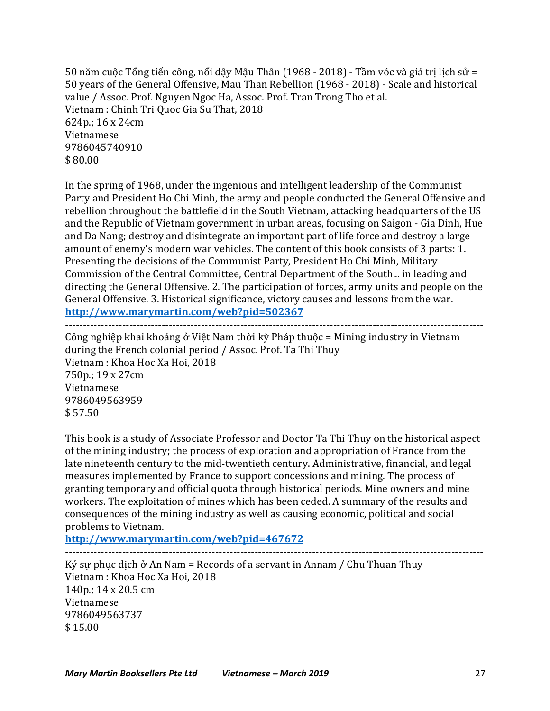50 năm cuộc Tổng tiến công, nổi dậy Mậu Thân (1968 - 2018) - Tầm vóc và giá trị lịch sử = 50 years of the General Offensive, Mau Than Rebellion (1968 - 2018) - Scale and historical value / Assoc. Prof. Nguyen Ngoc Ha, Assoc. Prof. Tran Trong Tho et al. Vietnam : Chinh Tri Quoc Gia Su That, 2018 624p.; 16 x 24cm Vietnamese 9786045740910  $$80.00$ 

In the spring of 1968, under the ingenious and intelligent leadership of the Communist Party and President Ho Chi Minh, the army and people conducted the General Offensive and rebellion throughout the battlefield in the South Vietnam, attacking headquarters of the US and the Republic of Vietnam government in urban areas, focusing on Saigon - Gia Dinh, Hue and Da Nang; destroy and disintegrate an important part of life force and destroy a large amount of enemy's modern war vehicles. The content of this book consists of 3 parts: 1. Presenting the decisions of the Communist Party, President Ho Chi Minh, Military Commission of the Central Committee, Central Department of the South... in leading and directing the General Offensive. 2. The participation of forces, army units and people on the General Offensive. 3. Historical significance, victory causes and lessons from the war. **http://www.marymartin.com/web?pid=502367** ---------------------------------------------------------------------------------------------------------------------

Công nghiệp khai khoáng ở Việt Nam thời kỳ Pháp thuộc = Mining industry in Vietnam during the French colonial period / Assoc. Prof. Ta Thi Thuy Vietnam : Khoa Hoc Xa Hoi, 2018 750p.; 19 x 27cm Vietnamese 9786049563959  $$57.50$ 

This book is a study of Associate Professor and Doctor Ta Thi Thuy on the historical aspect of the mining industry; the process of exploration and appropriation of France from the late nineteenth century to the mid-twentieth century. Administrative, financial, and legal measures implemented by France to support concessions and mining. The process of granting temporary and official quota through historical periods. Mine owners and mine workers. The exploitation of mines which has been ceded. A summary of the results and consequences of the mining industry as well as causing economic, political and social problems to Vietnam.

**http://www.marymartin.com/web?pid=467672**

---------------------------------------------------------------------------------------------------------------------

Ký sự phục dịch ở An Nam = Records of a servant in Annam / Chu Thuan Thuy Vietnam : Khoa Hoc Xa Hoi, 2018 140p.; 14 x 20.5 cm Vietnamese 9786049563737 \$ 15.00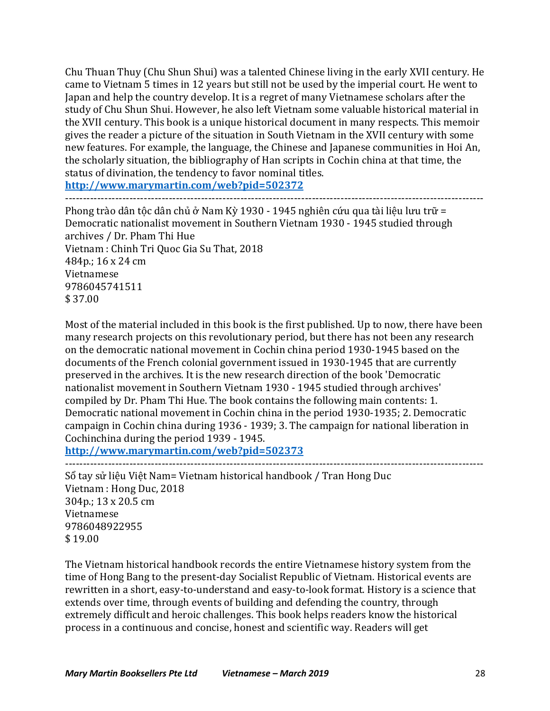Chu Thuan Thuy (Chu Shun Shui) was a talented Chinese living in the early XVII century. He came to Vietnam 5 times in 12 years but still not be used by the imperial court. He went to Japan and help the country develop. It is a regret of many Vietnamese scholars after the study of Chu Shun Shui. However, he also left Vietnam some valuable historical material in the XVII century. This book is a unique historical document in many respects. This memoir gives the reader a picture of the situation in South Vietnam in the XVII century with some new features. For example, the language, the Chinese and Japanese communities in Hoi An, the scholarly situation, the bibliography of Han scripts in Cochin china at that time, the status of divination, the tendency to favor nominal titles.

**http://www.marymartin.com/web?pid=502372** ---------------------------------------------------------------------------------------------------------------------

Phong trào dân tộc dân chủ ở Nam Kỳ 1930 - 1945 nghiên cứu qua tài liệu lưu trữ = Democratic nationalist movement in Southern Vietnam 1930 - 1945 studied through archives / Dr. Pham Thi Hue Vietnam : Chinh Tri Quoc Gia Su That, 2018 484p.; 16 x 24 cm Vietnamese 9786045741511 \$ 37.00

Most of the material included in this book is the first published. Up to now, there have been many research projects on this revolutionary period, but there has not been any research on the democratic national movement in Cochin china period 1930-1945 based on the documents of the French colonial government issued in 1930-1945 that are currently preserved in the archives. It is the new research direction of the book 'Democratic nationalist movement in Southern Vietnam 1930 - 1945 studied through archives' compiled by Dr. Pham Thi Hue. The book contains the following main contents: 1. Democratic national movement in Cochin china in the period 1930-1935; 2. Democratic campaign in Cochin china during 1936 - 1939; 3. The campaign for national liberation in Cochinchina during the period 1939 - 1945.

**http://www.marymartin.com/web?pid=502373**

--------------------------------------------------------------------------------------------------------------------- Sổ tay sử liệu Việt Nam= Vietnam historical handbook / Tran Hong Duc Vietnam : Hong Duc, 2018 304p.; 13 x 20.5 cm Vietnamese 9786048922955 \$ 19.00

The Vietnam historical handbook records the entire Vietnamese history system from the time of Hong Bang to the present-day Socialist Republic of Vietnam. Historical events are rewritten in a short, easy-to-understand and easy-to-look format. History is a science that extends over time, through events of building and defending the country, through extremely difficult and heroic challenges. This book helps readers know the historical process in a continuous and concise, honest and scientific way. Readers will get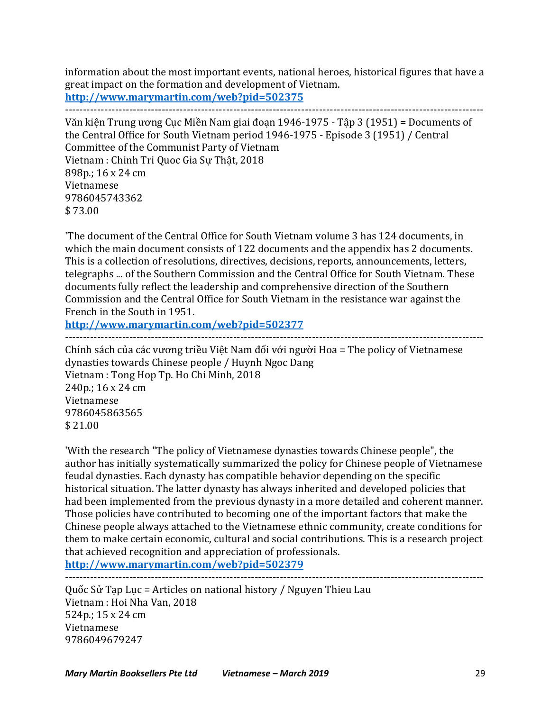information about the most important events, national heroes, historical figures that have a great impact on the formation and development of Vietnam. **http://www.marymartin.com/web?pid=502375**

---------------------------------------------------------------------------------------------------------------------

Văn kiện Trung ương Cục Miền Nam giai đoạn 1946-1975 - Tập 3 (1951) = Documents of the Central Office for South Vietnam period 1946-1975 - Episode 3 (1951) / Central Committee of the Communist Party of Vietnam Vietnam : Chinh Tri Quoc Gia Sư Thật, 2018 898p.; 16 x 24 cm Vietnamese 9786045743362 \$ 73.00

'The document of the Central Office for South Vietnam volume 3 has 124 documents, in which the main document consists of 122 documents and the appendix has 2 documents. This is a collection of resolutions, directives, decisions, reports, announcements, letters, telegraphs ... of the Southern Commission and the Central Office for South Vietnam. These documents fully reflect the leadership and comprehensive direction of the Southern Commission and the Central Office for South Vietnam in the resistance war against the French in the South in 1951.

**http://www.marymartin.com/web?pid=502377** ---------------------------------------------------------------------------------------------------------------------

Chính sách của các vương triều Việt Nam đối với người Hoa = The policy of Vietnamese dynasties towards Chinese people / Huynh Ngoc Dang Vietnam : Tong Hop Tp. Ho Chi Minh, 2018 240p.; 16 x 24 cm Vietnamese 9786045863565  $$21.00$ 

'With the research "The policy of Vietnamese dynasties towards Chinese people", the author has initially systematically summarized the policy for Chinese people of Vietnamese feudal dynasties. Each dynasty has compatible behavior depending on the specific historical situation. The latter dynasty has always inherited and developed policies that had been implemented from the previous dynasty in a more detailed and coherent manner. Those policies have contributed to becoming one of the important factors that make the Chinese people always attached to the Vietnamese ethnic community, create conditions for them to make certain economic, cultural and social contributions. This is a research project that achieved recognition and appreciation of professionals.

**http://www.marymartin.com/web?pid=502379**

---------------------------------------------------------------------------------------------------------------------

Quốc Sử Tạp Lục = Articles on national history / Nguyen Thieu Lau Vietnam : Hoi Nha Van, 2018 524p.;  $15 \times 24$  cm Vietnamese 9786049679247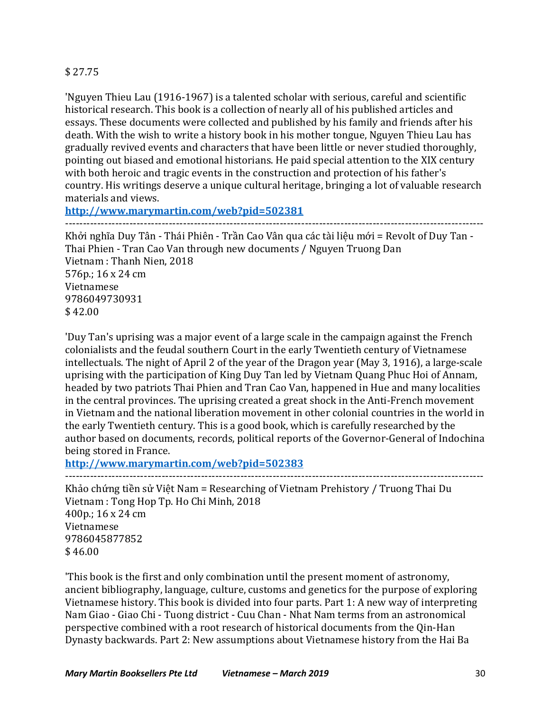# \$ 27.75

'Nguyen Thieu Lau (1916-1967) is a talented scholar with serious, careful and scientific historical research. This book is a collection of nearly all of his published articles and essays. These documents were collected and published by his family and friends after his death. With the wish to write a history book in his mother tongue. Nguyen Thieu Lau has gradually revived events and characters that have been little or never studied thoroughly, pointing out biased and emotional historians. He paid special attention to the XIX century with both heroic and tragic events in the construction and protection of his father's country. His writings deserve a unique cultural heritage, bringing a lot of valuable research materials and views.

**http://www.marymartin.com/web?pid=502381**

---------------------------------------------------------------------------------------------------------------------

Khởi nghĩa Duy Tân - Thái Phiên - Trần Cao Vân qua các tài liệu mới = Revolt of Duy Tan -Thai Phien - Tran Cao Van through new documents / Nguyen Truong Dan Vietnam : Thanh Nien, 2018  $576p$ :  $16 \times 24$  cm Vietnamese 9786049730931 \$ 42.00

'Duy Tan's uprising was a major event of a large scale in the campaign against the French colonialists and the feudal southern Court in the early Twentieth century of Vietnamese intellectuals. The night of April 2 of the year of the Dragon year (May 3, 1916), a large-scale uprising with the participation of King Duy Tan led by Vietnam Quang Phuc Hoi of Annam, headed by two patriots Thai Phien and Tran Cao Van, happened in Hue and many localities in the central provinces. The uprising created a great shock in the Anti-French movement in Vietnam and the national liberation movement in other colonial countries in the world in the early Twentieth century. This is a good book, which is carefully researched by the author based on documents, records, political reports of the Governor-General of Indochina being stored in France.

**http://www.marymartin.com/web?pid=502383**

---------------------------------------------------------------------------------------------------------------------

Khảo chứng tiền sử Việt Nam = Researching of Vietnam Prehistory / Truong Thai Du Vietnam : Tong Hop Tp. Ho Chi Minh, 2018 400p.; 16 x 24 cm Vietnamese 9786045877852  $$46.00$ 

'This book is the first and only combination until the present moment of astronomy, ancient bibliography, language, culture, customs and genetics for the purpose of exploring Vietnamese history. This book is divided into four parts. Part 1: A new way of interpreting Nam Giao - Giao Chi - Tuong district - Cuu Chan - Nhat Nam terms from an astronomical perspective combined with a root research of historical documents from the Oin-Han Dynasty backwards. Part 2: New assumptions about Vietnamese history from the Hai Ba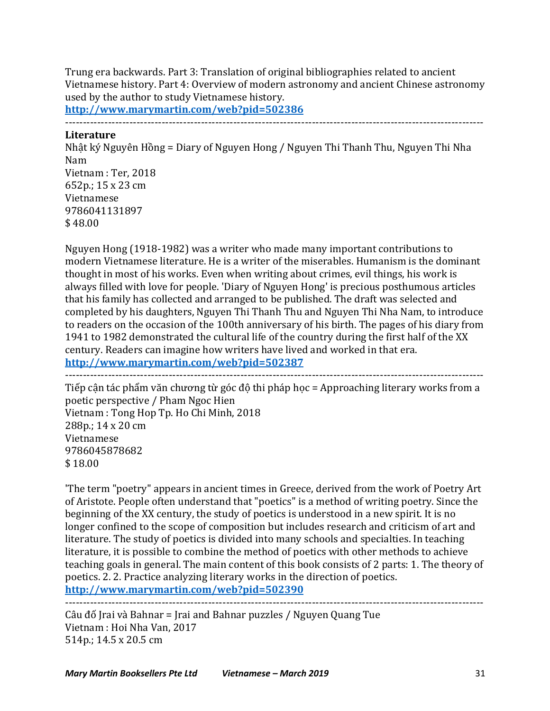Trung era backwards. Part 3: Translation of original bibliographies related to ancient Vietnamese history. Part 4: Overview of modern astronomy and ancient Chinese astronomy used by the author to study Vietnamese history.

**http://www.marymartin.com/web?pid=502386**

---------------------------------------------------------------------------------------------------------------------

### **Literature**

Nhật ký Nguyên Hồng = Diary of Nguyen Hong / Nguyen Thi Thanh Thu, Nguyen Thi Nha Nam Vietnam : Ter, 2018 652p.; 15 x 23 cm Vietnamese 9786041131897 \$48.00

Nguyen Hong (1918-1982) was a writer who made many important contributions to modern Vietnamese literature. He is a writer of the miserables. Humanism is the dominant thought in most of his works. Even when writing about crimes, evil things, his work is always filled with love for people. 'Diary of Nguyen Hong' is precious posthumous articles that his family has collected and arranged to be published. The draft was selected and completed by his daughters, Nguyen Thi Thanh Thu and Nguyen Thi Nha Nam, to introduce to readers on the occasion of the 100th anniversary of his birth. The pages of his diary from 1941 to 1982 demonstrated the cultural life of the country during the first half of the XX century. Readers can imagine how writers have lived and worked in that era. **http://www.marymartin.com/web?pid=502387**

---------------------------------------------------------------------------------------------------------------------

Tiếp cân tác phẩm văn chương từ góc đô thi pháp học = Approaching literary works from a poetic perspective / Pham Ngoc Hien Vietnam : Tong Hop Tp. Ho Chi Minh, 2018 288p.; 14 x 20 cm Vietnamese 9786045878682 \$ 18.00

'The term "poetry" appears in ancient times in Greece, derived from the work of Poetry Art of Aristote. People often understand that "poetics" is a method of writing poetry. Since the beginning of the XX century, the study of poetics is understood in a new spirit. It is no longer confined to the scope of composition but includes research and criticism of art and literature. The study of poetics is divided into many schools and specialties. In teaching literature, it is possible to combine the method of poetics with other methods to achieve teaching goals in general. The main content of this book consists of 2 parts: 1. The theory of poetics. 2. 2. Practice analyzing literary works in the direction of poetics. **http://www.marymartin.com/web?pid=502390**

---------------------------------------------------------------------------------------------------------------------

Câu đố Jrai và Bahnar = Jrai and Bahnar puzzles / Nguyen Quang Tue Vietnam : Hoi Nha Van, 2017 514p.; 14.5 x 20.5 cm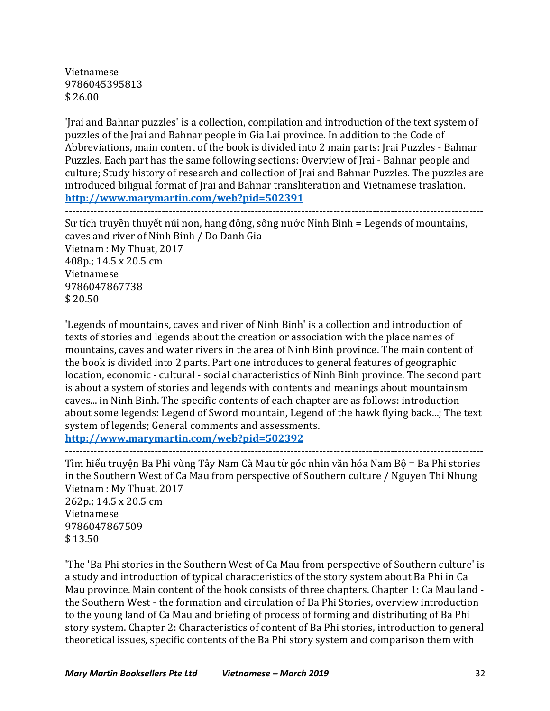Vietnamese 9786045395813 \$ 26.00

'Jrai and Bahnar puzzles' is a collection, compilation and introduction of the text system of puzzles of the Irai and Bahnar people in Gia Lai province. In addition to the Code of Abbreviations, main content of the book is divided into 2 main parts: Jrai Puzzles - Bahnar Puzzles. Each part has the same following sections: Overview of Irai - Bahnar people and culture; Study history of research and collection of Jrai and Bahnar Puzzles. The puzzles are introduced biligual format of Irai and Bahnar transliteration and Vietnamese traslation. **http://www.marymartin.com/web?pid=502391**

---------------------------------------------------------------------------------------------------------------------

Sư tích truyền thuyết núi non, hang đông, sông nước Ninh Bình = Legends of mountains, caves and river of Ninh Binh / Do Danh Gia Vietnam : My Thuat, 2017 408p.; 14.5 x 20.5 cm Vietnamese 9786047867738 \$ 20.50

'Legends of mountains, caves and river of Ninh Binh' is a collection and introduction of texts of stories and legends about the creation or association with the place names of mountains, caves and water rivers in the area of Ninh Binh province. The main content of the book is divided into 2 parts. Part one introduces to general features of geographic location, economic - cultural - social characteristics of Ninh Binh province. The second part is about a system of stories and legends with contents and meanings about mountainsm caves... in Ninh Binh. The specific contents of each chapter are as follows: introduction about some legends: Legend of Sword mountain, Legend of the hawk flying back...; The text system of legends; General comments and assessments.

**http://www.marymartin.com/web?pid=502392** ---------------------------------------------------------------------------------------------------------------------

Tìm hiểu truyện Ba Phi vùng Tây Nam Cà Mau từ góc nhìn văn hóa Nam Bộ = Ba Phi stories in the Southern West of Ca Mau from perspective of Southern culture / Nguyen Thi Nhung Vietnam : My Thuat, 2017 262p.; 14.5 x 20.5 cm

Vietnamese 9786047867509 \$ 13.50

The 'Ba Phi stories in the Southern West of Ca Mau from perspective of Southern culture' is a study and introduction of typical characteristics of the story system about Ba Phi in Ca Mau province. Main content of the book consists of three chapters. Chapter 1: Ca Mau land the Southern West - the formation and circulation of Ba Phi Stories, overview introduction to the young land of Ca Mau and briefing of process of forming and distributing of Ba Phi story system. Chapter 2: Characteristics of content of Ba Phi stories, introduction to general theoretical issues, specific contents of the Ba Phi story system and comparison them with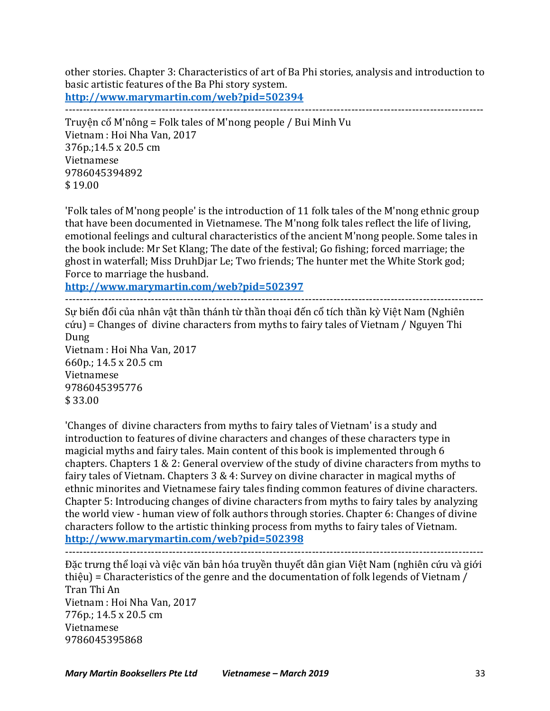other stories. Chapter 3: Characteristics of art of Ba Phi stories, analysis and introduction to basic artistic features of the Ba Phi story system.

**http://www.marymartin.com/web?pid=502394**

---------------------------------------------------------------------------------------------------------------------

Truyện cổ M'nông = Folk tales of M'nong people / Bui Minh Vu Vietnam : Hoi Nha Van, 2017 376p.;14.5 x 20.5 cm Vietnamese 9786045394892  $$19.00$ 

'Folk tales of M'nong people' is the introduction of 11 folk tales of the M'nong ethnic group that have been documented in Vietnamese. The M'nong folk tales reflect the life of living, emotional feelings and cultural characteristics of the ancient M'nong people. Some tales in the book include: Mr Set Klang; The date of the festival; Go fishing; forced marriage; the ghost in waterfall; Miss DruhDjar Le; Two friends; The hunter met the White Stork god; Force to marriage the husband.

**http://www.marymartin.com/web?pid=502397**

---------------------------------------------------------------------------------------------------------------------

Sự biến đổi của nhân vật thần thánh từ thần thoại đến cổ tích thần kỳ Việt Nam (Nghiên  $c$ ứu) = Changes of divine characters from myths to fairy tales of Vietnam / Nguyen Thi Dung Vietnam : Hoi Nha Van, 2017

660p.; 14.5 x 20.5 cm Vietnamese 9786045395776 \$ 33.00

'Changes of divine characters from myths to fairy tales of Vietnam' is a study and introduction to features of divine characters and changes of these characters type in magicial myths and fairy tales. Main content of this book is implemented through 6 chapters. Chapters  $1 \& 2$ : General overview of the study of divine characters from myths to fairy tales of Vietnam. Chapters  $3 & 4$ : Survey on divine character in magical myths of ethnic minorites and Vietnamese fairy tales finding common features of divine characters. Chapter 5: Introducing changes of divine characters from myths to fairy tales by analyzing the world view - human view of folk authors through stories. Chapter 6: Changes of divine characters follow to the artistic thinking process from myths to fairy tales of Vietnam. **http://www.marymartin.com/web?pid=502398**

---------------------------------------------------------------------------------------------------------------------

Đặc trưng thể loại và việc văn bản hóa truyền thuyết dân gian Việt Nam (nghiên cứu và giới thiệu) = Characteristics of the genre and the documentation of folk legends of Vietnam / Tran Thi An Vietnam : Hoi Nha Van, 2017  $776p$ .; 14.5 x 20.5 cm Vietnamese 9786045395868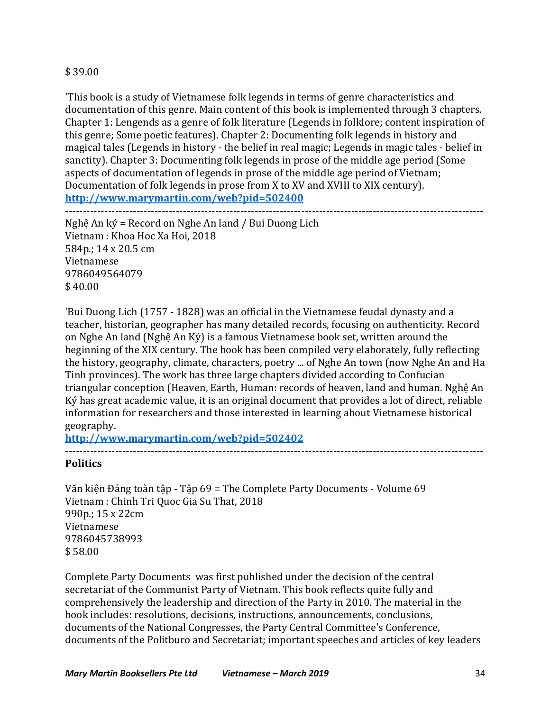# \$ 39.00

'This book is a study of Vietnamese folk legends in terms of genre characteristics and documentation of this genre. Main content of this book is implemented through 3 chapters. Chapter 1: Lengends as a genre of folk literature (Legends in folklore; content inspiration of this genre: Some poetic features). Chapter 2: Documenting folk legends in history and magical tales (Legends in history - the belief in real magic; Legends in magic tales - belief in sanctity). Chapter 3: Documenting folk legends in prose of the middle age period (Some aspects of documentation of legends in prose of the middle age period of Vietnam; Documentation of folk legends in prose from X to XV and XVIII to XIX century). **http://www.marymartin.com/web?pid=502400**

---------------------------------------------------------------------------------------------------------------------

Nghệ An ký = Record on Nghe An land / Bui Duong Lich Vietnam : Khoa Hoc Xa Hoi, 2018 584p.; 14 x 20.5 cm Vietnamese 9786049564079 \$ 40.00

'Bui Duong Lich (1757 - 1828) was an official in the Vietnamese feudal dynasty and a teacher, historian, geographer has many detailed records, focusing on authenticity. Record on Nghe An land (Nghê An Ký) is a famous Vietnamese book set, written around the beginning of the XIX century. The book has been compiled very elaborately, fully reflecting the history, geography, climate, characters, poetry ... of Nghe An town (now Nghe An and Ha Tinh provinces). The work has three large chapters divided according to Confucian triangular conception (Heaven, Earth, Human: records of heaven, land and human. Nghê An Ký has great academic value, it is an original document that provides a lot of direct, reliable information for researchers and those interested in learning about Vietnamese historical geography.

**http://www.marymartin.com/web?pid=502402**

---------------------------------------------------------------------------------------------------------------------

### **Politics**

Văn kiện Đảng toàn tập - Tập 69 = The Complete Party Documents - Volume 69 Vietnam : Chinh Tri Quoc Gia Su That, 2018 990p.; 15 x 22cm Vietnamese 9786045738993 \$ 58.00

Complete Party Documents was first published under the decision of the central secretariat of the Communist Party of Vietnam. This book reflects quite fully and comprehensively the leadership and direction of the Party in 2010. The material in the book includes: resolutions, decisions, instructions, announcements, conclusions, documents of the National Congresses, the Party Central Committee's Conference, documents of the Politburo and Secretariat; important speeches and articles of key leaders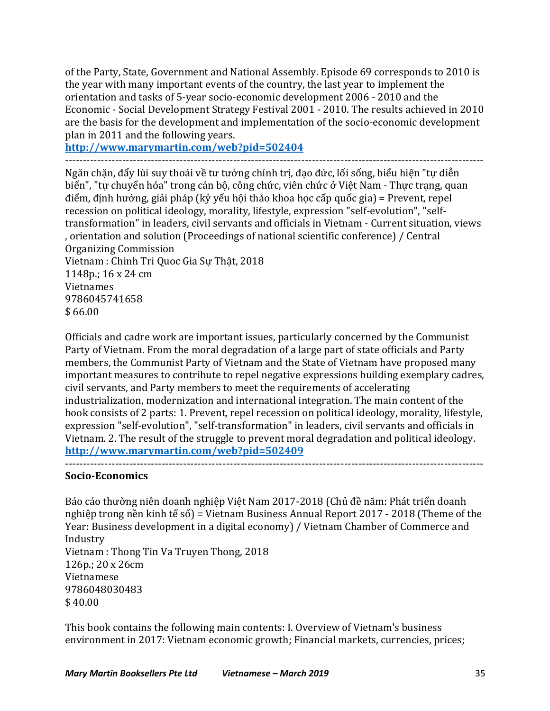of the Party, State, Government and National Assembly. Episode 69 corresponds to 2010 is the year with many important events of the country, the last year to implement the orientation and tasks of 5-year socio-economic development 2006 - 2010 and the Economic - Social Development Strategy Festival 2001 - 2010. The results achieved in 2010 are the basis for the development and implementation of the socio-economic development plan in 2011 and the following years.

**http://www.marymartin.com/web?pid=502404** ---------------------------------------------------------------------------------------------------------------------

Ngăn chặn, đẩy lùi suy thoái về tư tưởng chính trị, đạo đức, lối sống, biểu hiện "tự diễn biến", "tư chuyển hóa" trong cán bô, công chức, viên chức ở Việt Nam - Thưc trang, quan điểm, định hướng, giải pháp (kỷ yếu hội thảo khoa học cấp quốc gia) = Prevent, repel recession on political ideology, morality, lifestyle, expression "self-evolution", "selftransformation" in leaders, civil servants and officials in Vietnam - Current situation, views , orientation and solution (Proceedings of national scientific conference) / Central Organizing Commission Vietnam : Chinh Tri Quoc Gia Sư Thật, 2018 1148p.; 16 x 24 cm Vietnames 9786045741658

 $$66.00$ 

Officials and cadre work are important issues, particularly concerned by the Communist Party of Vietnam. From the moral degradation of a large part of state officials and Party members, the Communist Party of Vietnam and the State of Vietnam have proposed many important measures to contribute to repel negative expressions building exemplary cadres, civil servants, and Party members to meet the requirements of accelerating industrialization, modernization and international integration. The main content of the book consists of 2 parts: 1. Prevent, repel recession on political ideology, morality, lifestyle, expression "self-evolution", "self-transformation" in leaders, civil servants and officials in Vietnam. 2. The result of the struggle to prevent moral degradation and political ideology. **http://www.marymartin.com/web?pid=502409**

# **Socio-Economics**

Báo cáo thường niên doanh nghiệp Việt Nam 2017-2018 (Chủ đề năm: Phát triển doanh nghiệp trong nền kinh tế số) = Vietnam Business Annual Report 2017 - 2018 (Theme of the Year: Business development in a digital economy) / Vietnam Chamber of Commerce and Industry Vietnam : Thong Tin Va Truyen Thong, 2018 126p.; 20 x 26cm Vietnamese 9786048030483  $$40.00$ 

This book contains the following main contents: I. Overview of Vietnam's business environment in 2017: Vietnam economic growth; Financial markets, currencies, prices;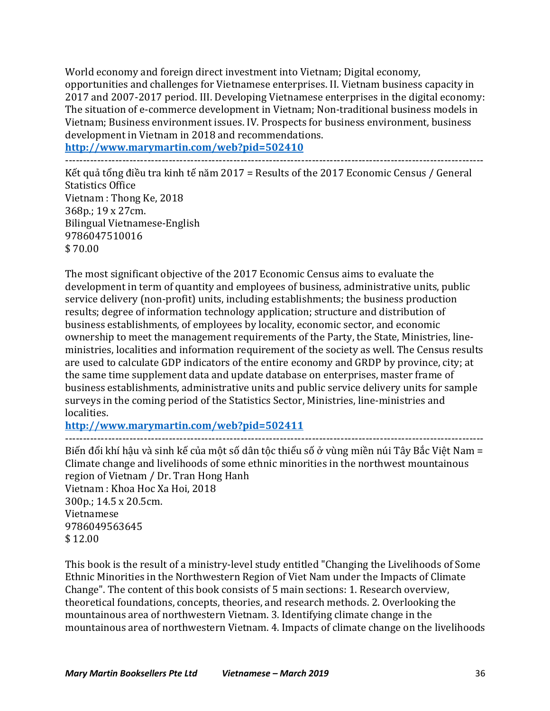World economy and foreign direct investment into Vietnam; Digital economy, opportunities and challenges for Vietnamese enterprises. II. Vietnam business capacity in 2017 and 2007-2017 period. III. Developing Vietnamese enterprises in the digital economy: The situation of e-commerce development in Vietnam; Non-traditional business models in Vietnam; Business environment issues. IV. Prospects for business environment, business development in Vietnam in 2018 and recommendations.

**http://www.marymartin.com/web?pid=502410** ---------------------------------------------------------------------------------------------------------------------

Kết quả tổng điều tra kinh tế năm 2017 = Results of the 2017 Economic Census / General Statistics Office Vietnam : Thong Ke, 2018 368p.; 19 x 27cm. Bilingual Vietnamese-English 9786047510016 \$ 70.00

The most significant objective of the 2017 Economic Census aims to evaluate the development in term of quantity and employees of business, administrative units, public service delivery (non-profit) units, including establishments; the business production results; degree of information technology application; structure and distribution of business establishments, of employees by locality, economic sector, and economic ownership to meet the management requirements of the Party, the State, Ministries, lineministries, localities and information requirement of the society as well. The Census results are used to calculate GDP indicators of the entire economy and GRDP by province, city; at the same time supplement data and update database on enterprises, master frame of business establishments, administrative units and public service delivery units for sample surveys in the coming period of the Statistics Sector, Ministries, line-ministries and localities.

**http://www.marymartin.com/web?pid=502411**

---------------------------------------------------------------------------------------------------------------------

Biến đổi khí hậu và sinh kế của một số dân tộc thiểu số ở vùng miền núi Tây Bắc Việt Nam = Climate change and livelihoods of some ethnic minorities in the northwest mountainous region of Vietnam / Dr. Tran Hong Hanh Vietnam : Khoa Hoc Xa Hoi, 2018

300p.: 14.5 x 20.5cm. Vietnamese 9786049563645 \$ 12.00

This book is the result of a ministry-level study entitled "Changing the Livelihoods of Some Ethnic Minorities in the Northwestern Region of Viet Nam under the Impacts of Climate Change". The content of this book consists of 5 main sections: 1. Research overview, theoretical foundations, concepts, theories, and research methods. 2. Overlooking the mountainous area of northwestern Vietnam. 3. Identifying climate change in the mountainous area of northwestern Vietnam. 4. Impacts of climate change on the livelihoods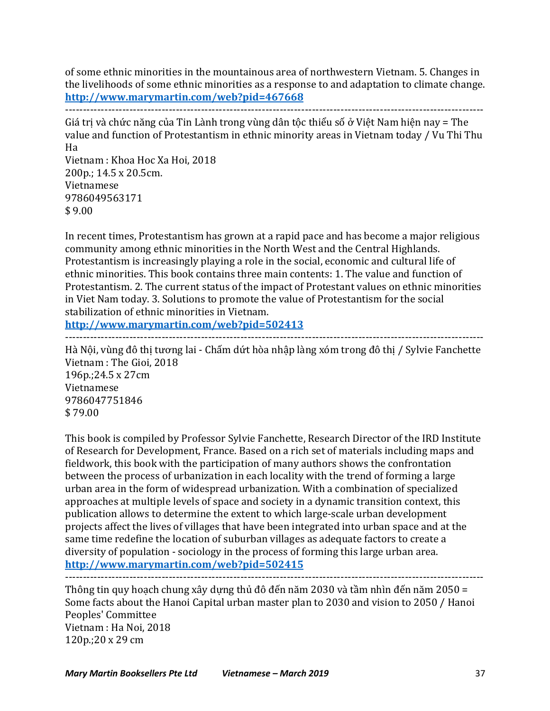of some ethnic minorities in the mountainous area of northwestern Vietnam. 5. Changes in the livelihoods of some ethnic minorities as a response to and adaptation to climate change. **http://www.marymartin.com/web?pid=467668** ---------------------------------------------------------------------------------------------------------------------

Giá trị và chức năng của Tin Lành trong vùng dân tộc thiểu số ở Việt Nam hiện nay = The value and function of Protestantism in ethnic minority areas in Vietnam today / Vu Thi Thu Ha

Vietnam : Khoa Hoc Xa Hoi, 2018 200p.; 14.5 x 20.5cm. Vietnamese 9786049563171  $$9.00$ 

In recent times, Protestantism has grown at a rapid pace and has become a major religious community among ethnic minorities in the North West and the Central Highlands. Protestantism is increasingly playing a role in the social, economic and cultural life of ethnic minorities. This book contains three main contents: 1. The value and function of Protestantism. 2. The current status of the impact of Protestant values on ethnic minorities in Viet Nam today. 3. Solutions to promote the value of Protestantism for the social stabilization of ethnic minorities in Vietnam.

**http://www.marymartin.com/web?pid=502413** ---------------------------------------------------------------------------------------------------------------------

Hà Nội, vùng đô thị tương lai - Chấm dứt hòa nhập làng xóm trong đô thị / Sylvie Fanchette Vietnam : The Gioi, 2018 196p.;24.5 x 27cm Vietnamese 9786047751846 \$ 79.00

This book is compiled by Professor Sylvie Fanchette, Research Director of the IRD Institute of Research for Development, France. Based on a rich set of materials including maps and fieldwork, this book with the participation of many authors shows the confrontation between the process of urbanization in each locality with the trend of forming a large urban area in the form of widespread urbanization. With a combination of specialized approaches at multiple levels of space and society in a dynamic transition context, this publication allows to determine the extent to which large-scale urban development projects affect the lives of villages that have been integrated into urban space and at the same time redefine the location of suburban villages as adequate factors to create a diversity of population - sociology in the process of forming this large urban area. **http://www.marymartin.com/web?pid=502415**

--------------------------------------------------------------------------------------------------------------------- Thông tin quy hoạch chung xây dựng thủ đô đến năm 2030 và tầm nhìn đến năm 2050 = Some facts about the Hanoi Capital urban master plan to 2030 and vision to 2050 / Hanoi Peoples' Committee Vietnam : Ha Noi, 2018 120p.;20 x 29 cm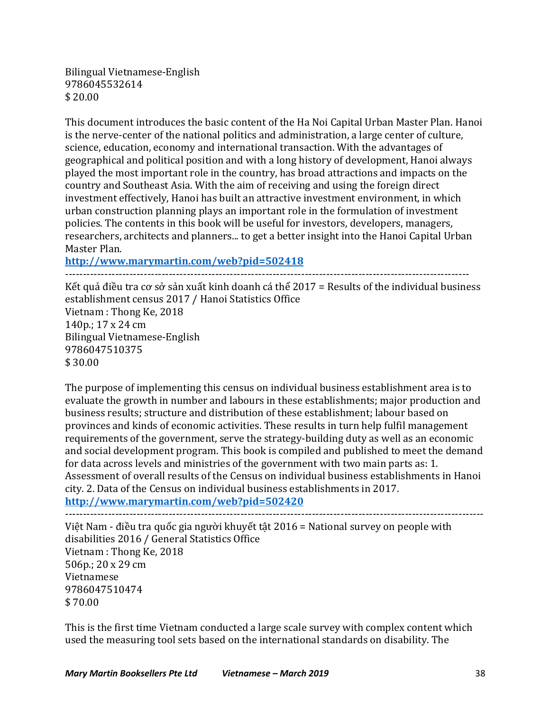Bilingual Vietnamese-English 9786045532614 \$ 20.00

This document introduces the basic content of the Ha Noi Capital Urban Master Plan. Hanoi is the nerve-center of the national politics and administration, a large center of culture, science, education, economy and international transaction. With the advantages of geographical and political position and with a long history of development, Hanoi always played the most important role in the country, has broad attractions and impacts on the country and Southeast Asia. With the aim of receiving and using the foreign direct investment effectively, Hanoi has built an attractive investment environment, in which urban construction planning plays an important role in the formulation of investment policies. The contents in this book will be useful for investors, developers, managers, researchers, architects and planners... to get a better insight into the Hanoi Capital Urban Master Plan.

**http://www.marymartin.com/web?pid=502418**

----------------------------------------------------------------------------------------------------------------- Kết quả điều tra cơ sở sản xuất kinh doanh cá thể 2017 = Results of the individual business establishment census 2017 / Hanoi Statistics Office Vietnam : Thong Ke, 2018 140p.; 17 x 24 cm Bilingual Vietnamese-English 9786047510375  $$30.00$ 

The purpose of implementing this census on individual business establishment area is to evaluate the growth in number and labours in these establishments; major production and business results; structure and distribution of these establishment; labour based on provinces and kinds of economic activities. These results in turn help fulfil management requirements of the government, serve the strategy-building duty as well as an economic and social development program. This book is compiled and published to meet the demand for data across levels and ministries of the government with two main parts as: 1. Assessment of overall results of the Census on individual business establishments in Hanoi city. 2. Data of the Census on individual business establishments in 2017.

**http://www.marymartin.com/web?pid=502420**

Việt Nam - điều tra quốc gia người khuyết tật  $2016$  = National survey on people with disabilities 2016 / General Statistics Office Vietnam : Thong Ke, 2018 506p.; 20 x 29 cm Vietnamese 9786047510474 \$ 70.00

This is the first time Vietnam conducted a large scale survey with complex content which used the measuring tool sets based on the international standards on disability. The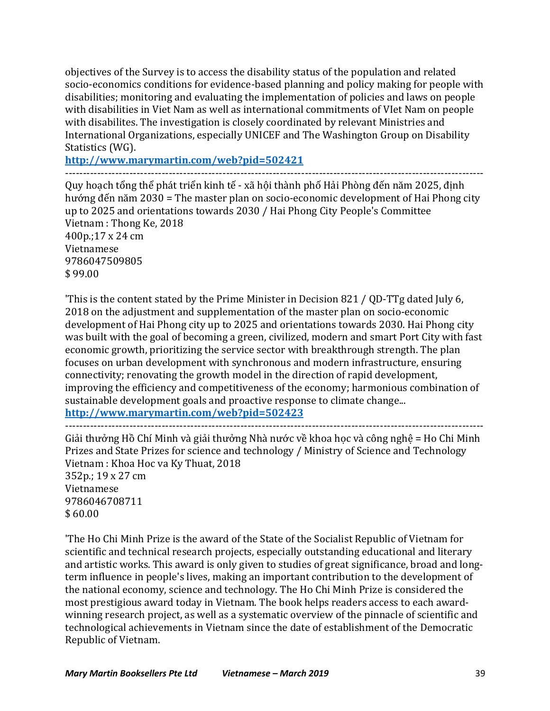objectives of the Survey is to access the disability status of the population and related socio-economics conditions for evidence-based planning and policy making for people with disabilities; monitoring and evaluating the implementation of policies and laws on people with disabilities in Viet Nam as well as international commitments of VIet Nam on people with disabilites. The investigation is closely coordinated by relevant Ministries and International Organizations, especially UNICEF and The Washington Group on Disability Statistics (WG).

**http://www.marymartin.com/web?pid=502421**

--------------------------------------------------------------------------------------------------------------------- Quy hoạch tổng thể phát triển kinh tế - xã hội thành phố Hải Phòng đến năm 2025, định hướng đến năm 2030 = The master plan on socio-economic development of Hai Phong city up to 2025 and orientations towards 2030 / Hai Phong City People's Committee Vietnam : Thong Ke, 2018 400p.;17 x 24 cm Vietnamese 9786047509805  $$99.00$ 

'This is the content stated by the Prime Minister in Decision 821 / QD-TTg dated July 6, 2018 on the adjustment and supplementation of the master plan on socio-economic development of Hai Phong city up to 2025 and orientations towards 2030. Hai Phong city was built with the goal of becoming a green, civilized, modern and smart Port City with fast economic growth, prioritizing the service sector with breakthrough strength. The plan focuses on urban development with synchronous and modern infrastructure, ensuring connectivity; renovating the growth model in the direction of rapid development, improving the efficiency and competitiveness of the economy; harmonious combination of sustainable development goals and proactive response to climate change... **http://www.marymartin.com/web?pid=502423**

--------------------------------------------------------------------------------------------------------------------- Giải thưởng Hồ Chí Minh và giải thưởng Nhà nước về khoa học và công nghệ = Ho Chi Minh Prizes and State Prizes for science and technology / Ministry of Science and Technology Vietnam : Khoa Hoc va Ky Thuat, 2018 352p.; 19 x 27 cm Vietnamese 9786046708711  $$60.00$ 

'The Ho Chi Minh Prize is the award of the State of the Socialist Republic of Vietnam for scientific and technical research projects, especially outstanding educational and literary and artistic works. This award is only given to studies of great significance, broad and longterm influence in people's lives, making an important contribution to the development of the national economy, science and technology. The Ho Chi Minh Prize is considered the most prestigious award today in Vietnam. The book helps readers access to each awardwinning research project, as well as a systematic overview of the pinnacle of scientific and technological achievements in Vietnam since the date of establishment of the Democratic Republic of Vietnam.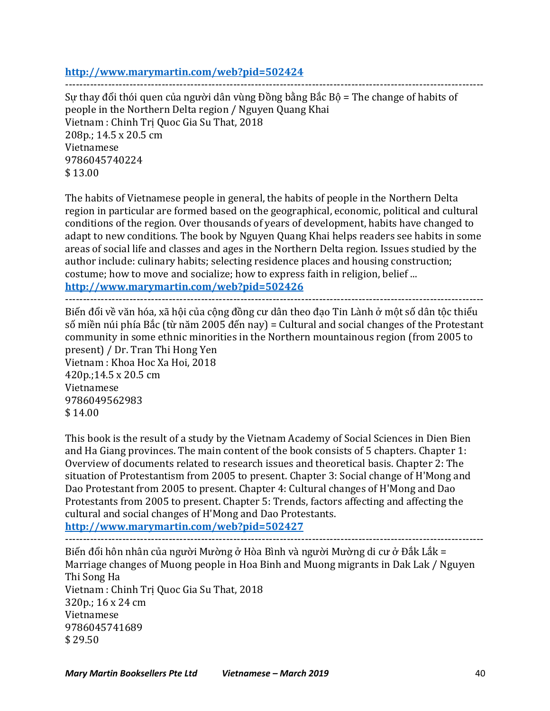# **http://www.marymartin.com/web?pid=502424**

--------------------------------------------------------------------------------------------------------------------- Sự thay đổi thói quen của người dân vùng Đồng bằng Bắc Bộ = The change of habits of people in the Northern Delta region / Nguyen Quang Khai Vietnam : Chinh Tri Quoc Gia Su That, 2018 208p.: 14.5 x 20.5 cm Vietnamese 9786045740224  $$13.00$ 

The habits of Vietnamese people in general, the habits of people in the Northern Delta region in particular are formed based on the geographical, economic, political and cultural conditions of the region. Over thousands of years of development, habits have changed to adapt to new conditions. The book by Nguyen Quang Khai helps readers see habits in some areas of social life and classes and ages in the Northern Delta region. Issues studied by the author include: culinary habits; selecting residence places and housing construction; costume; how to move and socialize; how to express faith in religion, belief ... **http://www.marymartin.com/web?pid=502426**

---------------------------------------------------------------------------------------------------------------------

Biến đổi về văn hóa, xã hôi của công đồng cư dân theo đạo Tin Lành ở một số dân tộc thiểu

số miền núi phía Bắc (từ năm 2005 đến nay) = Cultural and social changes of the Protestant community in some ethnic minorities in the Northern mountainous region (from 2005 to present) / Dr. Tran Thi Hong Yen Vietnam : Khoa Hoc Xa Hoi, 2018 420p.;14.5 x 20.5 cm

Vietnamese 9786049562983  $$14.00$ 

This book is the result of a study by the Vietnam Academy of Social Sciences in Dien Bien and Ha Giang provinces. The main content of the book consists of 5 chapters. Chapter 1: Overview of documents related to research issues and theoretical basis. Chapter 2: The situation of Protestantism from 2005 to present. Chapter 3: Social change of H'Mong and Dao Protestant from 2005 to present. Chapter 4: Cultural changes of H'Mong and Dao Protestants from 2005 to present. Chapter 5: Trends, factors affecting and affecting the cultural and social changes of H'Mong and Dao Protestants.

**http://www.marymartin.com/web?pid=502427**

---------------------------------------------------------------------------------------------------------------------

Biến đổi hôn nhân của người Mường ở Hòa Bình và người Mường di cư ở Đắk Lắk = Marriage changes of Muong people in Hoa Binh and Muong migrants in Dak Lak / Nguyen Thi Song Ha Vietnam : Chinh Tri Quoc Gia Su That, 2018 320p.; 16 x 24 cm Vietnamese 9786045741689 \$ 29.50